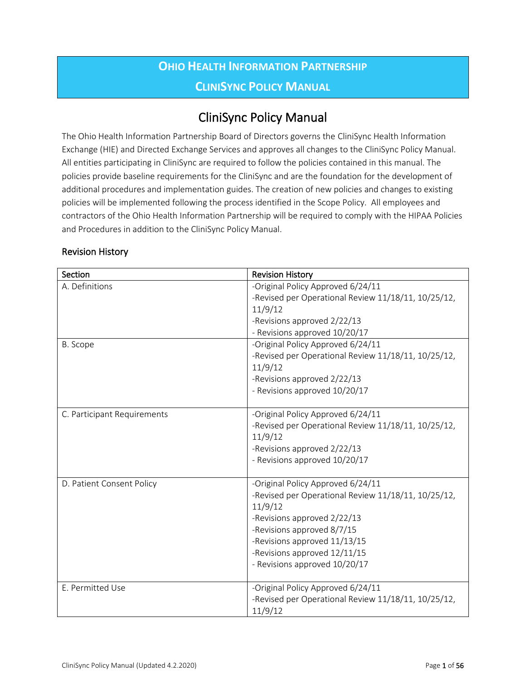# **OHIO HEALTH INFORMATION PARTNERSHIP CLINISYNC POLICY MANUAL**

# CliniSync Policy Manual

The Ohio Health Information Partnership Board of Directors governs the CliniSync Health Information Exchange (HIE) and Directed Exchange Services and approves all changes to the CliniSync Policy Manual. All entities participating in CliniSync are required to follow the policies contained in this manual. The policies provide baseline requirements for the CliniSync and are the foundation for the development of additional procedures and implementation guides. The creation of new policies and changes to existing policies will be implemented following the process identified in the Scope Policy. All employees and contractors of the Ohio Health Information Partnership will be required to comply with the HIPAA Policies and Procedures in addition to the CliniSync Policy Manual.

| Section                     | <b>Revision History</b>                                      |
|-----------------------------|--------------------------------------------------------------|
| A. Definitions              | -Original Policy Approved 6/24/11                            |
|                             | -Revised per Operational Review 11/18/11, 10/25/12,          |
|                             | 11/9/12                                                      |
|                             | -Revisions approved 2/22/13                                  |
|                             | - Revisions approved 10/20/17                                |
| B. Scope                    | -Original Policy Approved 6/24/11                            |
|                             | -Revised per Operational Review 11/18/11, 10/25/12,          |
|                             | 11/9/12                                                      |
|                             | -Revisions approved 2/22/13<br>- Revisions approved 10/20/17 |
|                             |                                                              |
| C. Participant Requirements | -Original Policy Approved 6/24/11                            |
|                             | -Revised per Operational Review 11/18/11, 10/25/12,          |
|                             | 11/9/12                                                      |
|                             | -Revisions approved 2/22/13                                  |
|                             | - Revisions approved 10/20/17                                |
| D. Patient Consent Policy   | -Original Policy Approved 6/24/11                            |
|                             | -Revised per Operational Review 11/18/11, 10/25/12,          |
|                             | 11/9/12                                                      |
|                             | -Revisions approved 2/22/13                                  |
|                             | -Revisions approved 8/7/15                                   |
|                             | -Revisions approved 11/13/15                                 |
|                             | -Revisions approved 12/11/15                                 |
|                             | - Revisions approved 10/20/17                                |
| E. Permitted Use            | -Original Policy Approved 6/24/11                            |
|                             | -Revised per Operational Review 11/18/11, 10/25/12,          |
|                             | 11/9/12                                                      |

#### Revision History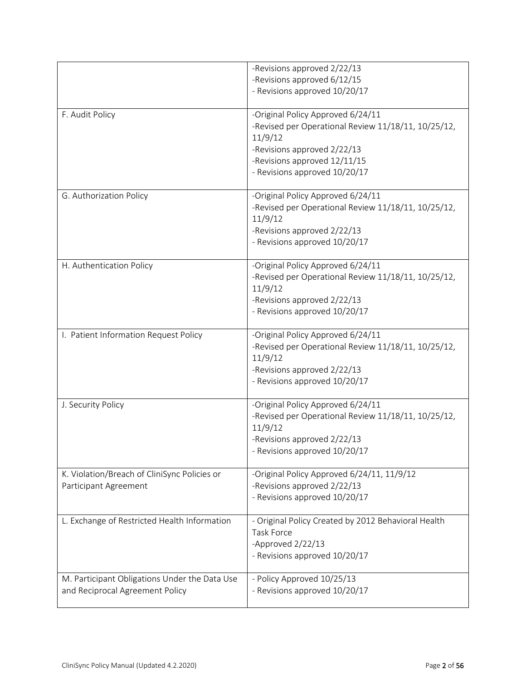|                                                                                  | -Revisions approved 2/22/13                                    |
|----------------------------------------------------------------------------------|----------------------------------------------------------------|
|                                                                                  | -Revisions approved 6/12/15                                    |
|                                                                                  | - Revisions approved 10/20/17                                  |
|                                                                                  |                                                                |
| F. Audit Policy                                                                  | -Original Policy Approved 6/24/11                              |
|                                                                                  | -Revised per Operational Review 11/18/11, 10/25/12,            |
|                                                                                  | 11/9/12                                                        |
|                                                                                  | -Revisions approved 2/22/13                                    |
|                                                                                  | -Revisions approved 12/11/15                                   |
|                                                                                  | - Revisions approved 10/20/17                                  |
|                                                                                  |                                                                |
| G. Authorization Policy                                                          | -Original Policy Approved 6/24/11                              |
|                                                                                  | -Revised per Operational Review 11/18/11, 10/25/12,            |
|                                                                                  | 11/9/12                                                        |
|                                                                                  | -Revisions approved 2/22/13                                    |
|                                                                                  | - Revisions approved 10/20/17                                  |
|                                                                                  |                                                                |
| H. Authentication Policy                                                         | -Original Policy Approved 6/24/11                              |
|                                                                                  | -Revised per Operational Review 11/18/11, 10/25/12,<br>11/9/12 |
|                                                                                  |                                                                |
|                                                                                  | -Revisions approved 2/22/13<br>- Revisions approved 10/20/17   |
|                                                                                  |                                                                |
| I. Patient Information Request Policy                                            | -Original Policy Approved 6/24/11                              |
|                                                                                  | -Revised per Operational Review 11/18/11, 10/25/12,            |
|                                                                                  | 11/9/12                                                        |
|                                                                                  | -Revisions approved 2/22/13                                    |
|                                                                                  | - Revisions approved 10/20/17                                  |
|                                                                                  |                                                                |
| J. Security Policy                                                               | -Original Policy Approved 6/24/11                              |
|                                                                                  | -Revised per Operational Review 11/18/11, 10/25/12,            |
|                                                                                  | 11/9/12                                                        |
|                                                                                  | -Revisions approved 2/22/13                                    |
|                                                                                  | - Revisions approved 10/20/17                                  |
| K. Violation/Breach of CliniSync Policies or                                     | -Original Policy Approved 6/24/11, 11/9/12                     |
| Participant Agreement                                                            | -Revisions approved 2/22/13                                    |
|                                                                                  | - Revisions approved 10/20/17                                  |
|                                                                                  |                                                                |
| L. Exchange of Restricted Health Information                                     | - Original Policy Created by 2012 Behavioral Health            |
|                                                                                  | Task Force                                                     |
|                                                                                  | -Approved 2/22/13                                              |
|                                                                                  | - Revisions approved 10/20/17                                  |
|                                                                                  |                                                                |
| M. Participant Obligations Under the Data Use<br>and Reciprocal Agreement Policy | - Policy Approved 10/25/13<br>- Revisions approved 10/20/17    |
|                                                                                  |                                                                |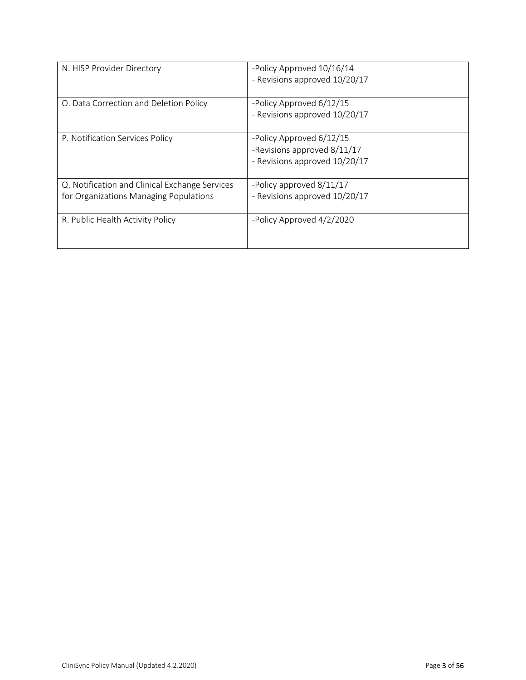| N. HISP Provider Directory                                                               | -Policy Approved 10/16/14<br>- Revisions approved 10/20/17                               |
|------------------------------------------------------------------------------------------|------------------------------------------------------------------------------------------|
| O. Data Correction and Deletion Policy                                                   | -Policy Approved 6/12/15<br>- Revisions approved 10/20/17                                |
| P. Notification Services Policy                                                          | -Policy Approved 6/12/15<br>-Revisions approved 8/11/17<br>- Revisions approved 10/20/17 |
| Q. Notification and Clinical Exchange Services<br>for Organizations Managing Populations | -Policy approved 8/11/17<br>- Revisions approved 10/20/17                                |
| R. Public Health Activity Policy                                                         | -Policy Approved 4/2/2020                                                                |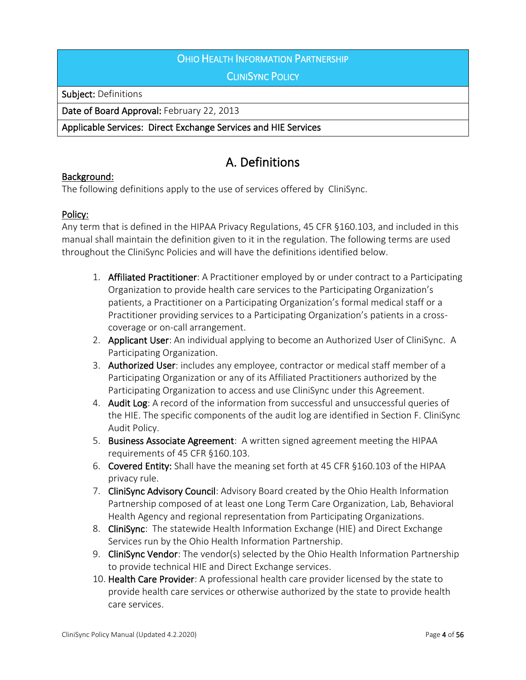## **OHIO HEALTH INFORMATION PARTNERSHIP**

### **CLINISYNC POLICY**

Subject: Definitions

Date of Board Approval: February 22, 2013

#### Applicable Services: Direct Exchange Services and HIE Services

# A. Definitions

#### Background:

The following definitions apply to the use of services offered by CliniSync.

#### Policy:

Any term that is defined in the HIPAA Privacy Regulations, 45 CFR §160.103, and included in this manual shall maintain the definition given to it in the regulation. The following terms are used throughout the CliniSync Policies and will have the definitions identified below.

- 1. Affiliated Practitioner: A Practitioner employed by or under contract to a Participating Organization to provide health care services to the Participating Organization's patients, a Practitioner on a Participating Organization's formal medical staff or a Practitioner providing services to a Participating Organization's patients in a crosscoverage or on-call arrangement.
- 2. Applicant User: An individual applying to become an Authorized User of CliniSync. A Participating Organization.
- 3. Authorized User: includes any employee, contractor or medical staff member of a Participating Organization or any of its Affiliated Practitioners authorized by the Participating Organization to access and use CliniSync under this Agreement.
- 4. Audit Log: A record of the information from successful and unsuccessful queries of the HIE. The specific components of the audit log are identified in Section F. CliniSync Audit Policy.
- 5. Business Associate Agreement: A written signed agreement meeting the HIPAA requirements of 45 CFR §160.103.
- 6. Covered Entity: Shall have the meaning set forth at 45 CFR §160.103 of the HIPAA privacy rule.
- 7. CliniSync Advisory Council: Advisory Board created by the Ohio Health Information Partnership composed of at least one Long Term Care Organization, Lab, Behavioral Health Agency and regional representation from Participating Organizations.
- 8. CliniSync: The statewide Health Information Exchange (HIE) and Direct Exchange Services run by the Ohio Health Information Partnership.
- 9. CliniSync Vendor: The vendor(s) selected by the Ohio Health Information Partnership to provide technical HIE and Direct Exchange services.
- 10. Health Care Provider: A professional health care provider licensed by the state to provide health care services or otherwise authorized by the state to provide health care services.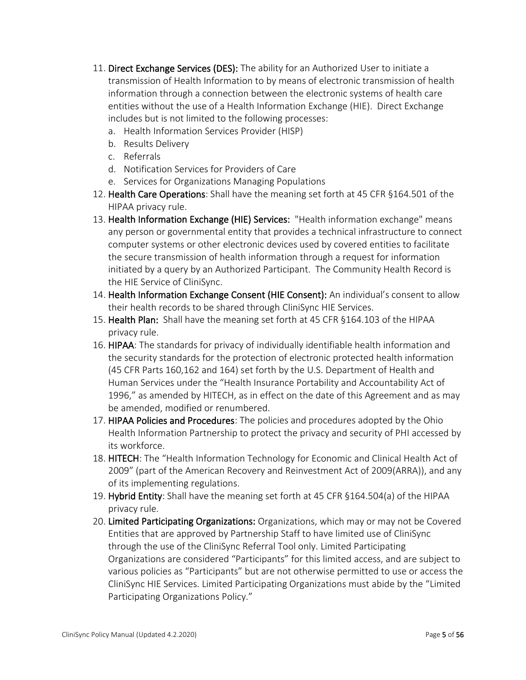- 11. Direct Exchange Services (DES): The ability for an Authorized User to initiate a transmission of Health Information to by means of electronic transmission of health information through a connection between the electronic systems of health care entities without the use of a Health Information Exchange (HIE). Direct Exchange includes but is not limited to the following processes:
	- a. Health Information Services Provider (HISP)
	- b. Results Delivery
	- c. Referrals
	- d. Notification Services for Providers of Care
	- e. Services for Organizations Managing Populations
- 12. Health Care Operations: Shall have the meaning set forth at 45 CFR §164.501 of the HIPAA privacy rule.
- 13. Health Information Exchange (HIE) Services: "Health information exchange" means any person or governmental entity that provides a technical infrastructure to connect computer systems or other electronic devices used by covered entities to facilitate the secure transmission of health information through a request for information initiated by a query by an Authorized Participant. The Community Health Record is the HIE Service of CliniSync.
- 14. Health Information Exchange Consent (HIE Consent): An individual's consent to allow their health records to be shared through CliniSync HIE Services.
- 15. Health Plan: Shall have the meaning set forth at 45 CFR §164.103 of the HIPAA privacy rule.
- 16. HIPAA: The standards for privacy of individually identifiable health information and the security standards for the protection of electronic protected health information (45 CFR Parts 160,162 and 164) set forth by the U.S. Department of Health and Human Services under the "Health Insurance Portability and Accountability Act of 1996," as amended by HITECH, as in effect on the date of this Agreement and as may be amended, modified or renumbered.
- 17. HIPAA Policies and Procedures: The policies and procedures adopted by the Ohio Health Information Partnership to protect the privacy and security of PHI accessed by its workforce.
- 18. HITECH: The "Health Information Technology for Economic and Clinical Health Act of 2009" (part of the American Recovery and Reinvestment Act of 2009(ARRA)), and any of its implementing regulations.
- 19. Hybrid Entity: Shall have the meaning set forth at 45 CFR §164.504(a) of the HIPAA privacy rule.
- 20. Limited Participating Organizations: Organizations, which may or may not be Covered Entities that are approved by Partnership Staff to have limited use of CliniSync through the use of the CliniSync Referral Tool only. Limited Participating Organizations are considered "Participants" for this limited access, and are subject to various policies as "Participants" but are not otherwise permitted to use or access the CliniSync HIE Services. Limited Participating Organizations must abide by the "Limited Participating Organizations Policy."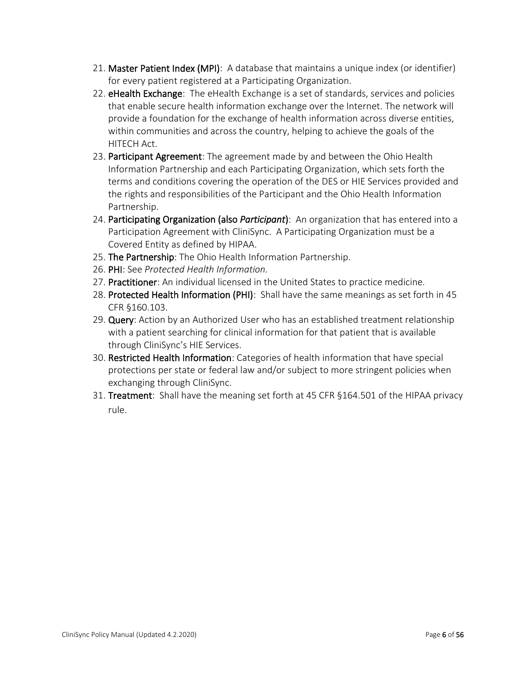- 21. Master Patient Index (MPI): A database that maintains a unique index (or identifier) for every patient registered at a Participating Organization.
- 22. eHealth Exchange: The eHealth Exchange is a set of standards, services and policies that enable secure health information exchange over the Internet. The network will provide a foundation for the exchange of health information across diverse entities, within communities and across the country, helping to achieve the goals of the HITECH Act.
- 23. Participant Agreement: The agreement made by and between the Ohio Health Information Partnership and each Participating Organization, which sets forth the terms and conditions covering the operation of the DES or HIE Services provided and the rights and responsibilities of the Participant and the Ohio Health Information Partnership.
- 24. Participating Organization (also *Participant*): An organization that has entered into a Participation Agreement with CliniSync. A Participating Organization must be a Covered Entity as defined by HIPAA.
- 25. The Partnership: The Ohio Health Information Partnership.
- 26. PHI: See *Protected Health Information.*
- 27. Practitioner: An individual licensed in the United States to practice medicine.
- 28. Protected Health Information (PHI): Shall have the same meanings as set forth in 45 CFR §160.103.
- 29. Query: Action by an Authorized User who has an established treatment relationship with a patient searching for clinical information for that patient that is available through CliniSync's HIE Services.
- 30. Restricted Health Information: Categories of health information that have special protections per state or federal law and/or subject to more stringent policies when exchanging through CliniSync.
- 31. Treatment: Shall have the meaning set forth at 45 CFR §164.501 of the HIPAA privacy rule.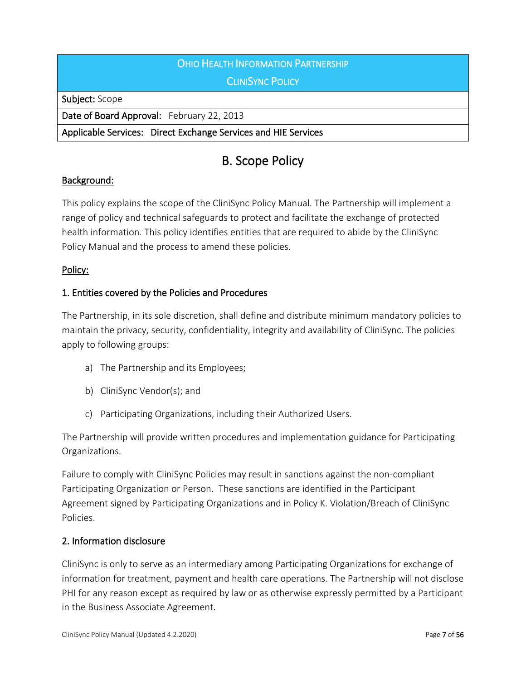# OHIO HEALTH INFORMATION PARTNERSHIP **CLINISYNC POLICY**

Subject: Scope

Date of Board Approval: February 22, 2013

Applicable Services: Direct Exchange Services and HIE Services

# B. Scope Policy

# Background:

This policy explains the scope of the CliniSync Policy Manual. The Partnership will implement a range of policy and technical safeguards to protect and facilitate the exchange of protected health information. This policy identifies entities that are required to abide by the CliniSync Policy Manual and the process to amend these policies.

# Policy:

# 1. Entities covered by the Policies and Procedures

The Partnership, in its sole discretion, shall define and distribute minimum mandatory policies to maintain the privacy, security, confidentiality, integrity and availability of CliniSync. The policies apply to following groups:

- a) The Partnership and its Employees;
- b) CliniSync Vendor(s); and
- c) Participating Organizations, including their Authorized Users.

The Partnership will provide written procedures and implementation guidance for Participating Organizations.

Failure to comply with CliniSync Policies may result in sanctions against the non-compliant Participating Organization or Person. These sanctions are identified in the Participant Agreement signed by Participating Organizations and in Policy K. Violation/Breach of CliniSync Policies.

## 2. Information disclosure

CliniSync is only to serve as an intermediary among Participating Organizations for exchange of information for treatment, payment and health care operations. The Partnership will not disclose PHI for any reason except as required by law or as otherwise expressly permitted by a Participant in the Business Associate Agreement.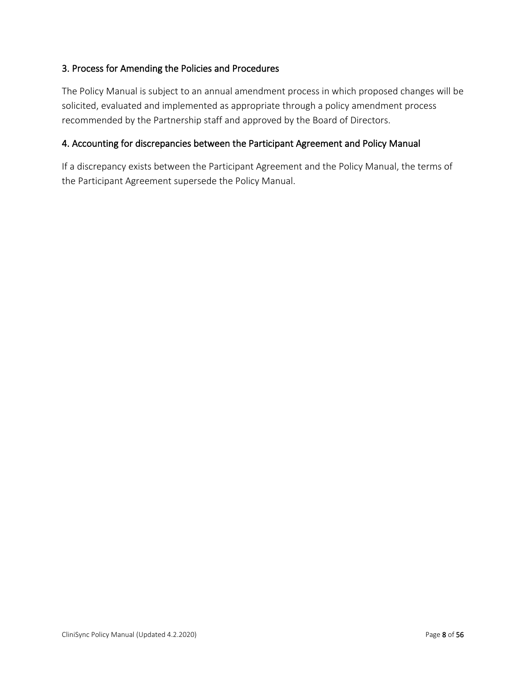# 3. Process for Amending the Policies and Procedures

The Policy Manual is subject to an annual amendment process in which proposed changes will be solicited, evaluated and implemented as appropriate through a policy amendment process recommended by the Partnership staff and approved by the Board of Directors.

#### 4. Accounting for discrepancies between the Participant Agreement and Policy Manual

If a discrepancy exists between the Participant Agreement and the Policy Manual, the terms of the Participant Agreement supersede the Policy Manual.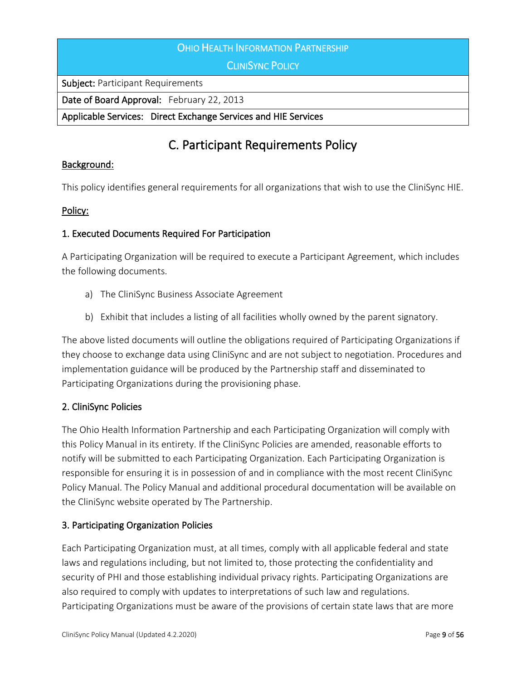#### OHIO HEALTH INFORMATION PARTNERSHIP

**CLINISYNC POLICY** 

Subject: Participant Requirements

Date of Board Approval: February 22, 2013

Applicable Services: Direct Exchange Services and HIE Services

# C. Participant Requirements Policy

#### Background:

This policy identifies general requirements for all organizations that wish to use the CliniSync HIE.

#### Policy:

#### 1. Executed Documents Required For Participation

A Participating Organization will be required to execute a Participant Agreement, which includes the following documents.

- a) The CliniSync Business Associate Agreement
- b) Exhibit that includes a listing of all facilities wholly owned by the parent signatory.

The above listed documents will outline the obligations required of Participating Organizations if they choose to exchange data using CliniSync and are not subject to negotiation. Procedures and implementation guidance will be produced by the Partnership staff and disseminated to Participating Organizations during the provisioning phase.

#### 2. CliniSync Policies

The Ohio Health Information Partnership and each Participating Organization will comply with this Policy Manual in its entirety. If the CliniSync Policies are amended, reasonable efforts to notify will be submitted to each Participating Organization. Each Participating Organization is responsible for ensuring it is in possession of and in compliance with the most recent CliniSync Policy Manual. The Policy Manual and additional procedural documentation will be available on the CliniSync website operated by The Partnership.

#### 3. Participating Organization Policies

Each Participating Organization must, at all times, comply with all applicable federal and state laws and regulations including, but not limited to, those protecting the confidentiality and security of PHI and those establishing individual privacy rights. Participating Organizations are also required to comply with updates to interpretations of such law and regulations. Participating Organizations must be aware of the provisions of certain state laws that are more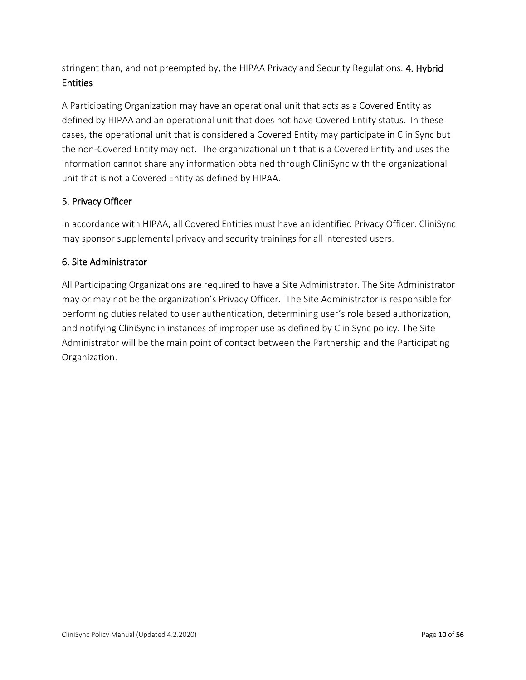stringent than, and not preempted by, the HIPAA Privacy and Security Regulations. 4. Hybrid Entities

A Participating Organization may have an operational unit that acts as a Covered Entity as defined by HIPAA and an operational unit that does not have Covered Entity status. In these cases, the operational unit that is considered a Covered Entity may participate in CliniSync but the non-Covered Entity may not. The organizational unit that is a Covered Entity and uses the information cannot share any information obtained through CliniSync with the organizational unit that is not a Covered Entity as defined by HIPAA.

# 5. Privacy Officer

In accordance with HIPAA, all Covered Entities must have an identified Privacy Officer. CliniSync may sponsor supplemental privacy and security trainings for all interested users.

#### 6. Site Administrator

All Participating Organizations are required to have a Site Administrator. The Site Administrator may or may not be the organization's Privacy Officer. The Site Administrator is responsible for performing duties related to user authentication, determining user's role based authorization, and notifying CliniSync in instances of improper use as defined by CliniSync policy. The Site Administrator will be the main point of contact between the Partnership and the Participating Organization.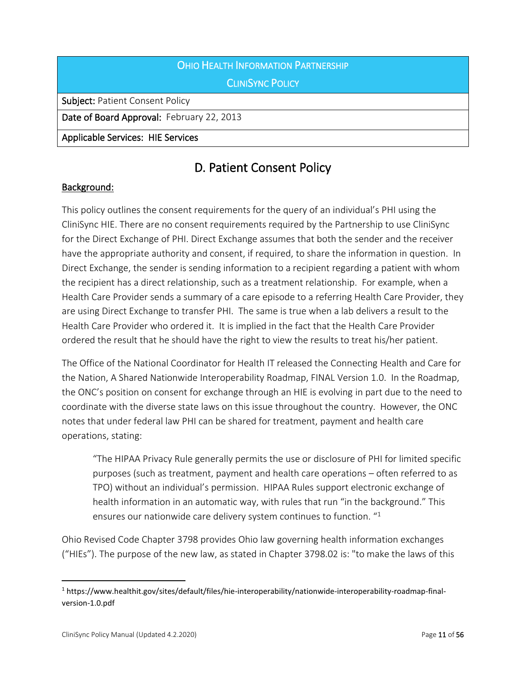# OHIO HEALTH INFORMATION PARTNERSHIP **CLINISYNC POLICY**

Subject: Patient Consent Policy

Date of Board Approval: February 22, 2013

Applicable Services: HIE Services

# D. Patient Consent Policy

# Background:

This policy outlines the consent requirements for the query of an individual's PHI using the CliniSync HIE. There are no consent requirements required by the Partnership to use CliniSync for the Direct Exchange of PHI. Direct Exchange assumes that both the sender and the receiver have the appropriate authority and consent, if required, to share the information in question. In Direct Exchange, the sender is sending information to a recipient regarding a patient with whom the recipient has a direct relationship, such as a treatment relationship. For example, when a Health Care Provider sends a summary of a care episode to a referring Health Care Provider, they are using Direct Exchange to transfer PHI. The same is true when a lab delivers a result to the Health Care Provider who ordered it. It is implied in the fact that the Health Care Provider ordered the result that he should have the right to view the results to treat his/her patient.

The Office of the National Coordinator for Health IT released the Connecting Health and Care for the Nation, A Shared Nationwide Interoperability Roadmap, FINAL Version 1.0. In the Roadmap, the ONC's position on consent for exchange through an HIE is evolving in part due to the need to coordinate with the diverse state laws on this issue throughout the country. However, the ONC notes that under federal law PHI can be shared for treatment, payment and health care operations, stating:

"The HIPAA Privacy Rule generally permits the use or disclosure of PHI for limited specific purposes (such as treatment, payment and health care operations – often referred to as TPO) without an individual's permission. HIPAA Rules support electronic exchange of health information in an automatic way, with rules that run "in the background." This ensures our nationwide care delivery system continues to function. "1

Ohio Revised Code Chapter 3798 provides Ohio law governing health information exchanges ("HIEs"). The purpose of the new law, as stated in Chapter 3798.02 is: "to make the laws of this

<sup>1</sup> https://www.healthit.gov/sites/default/files/hie-interoperability/nationwide-interoperability-roadmap-finalversion-1.0.pdf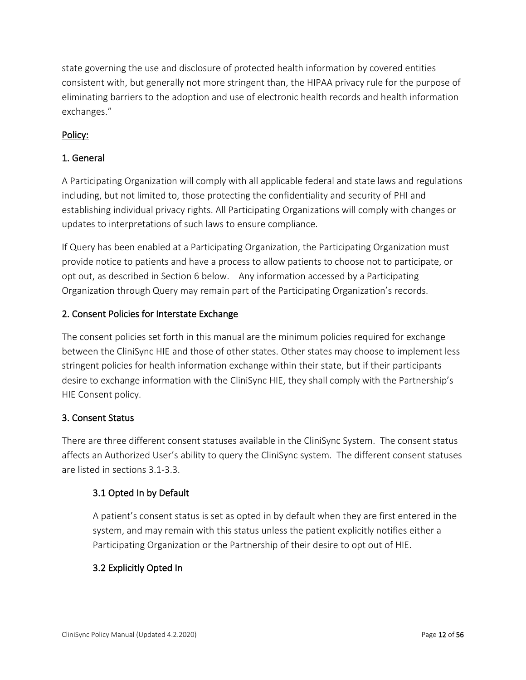state governing the use and disclosure of protected health information by covered entities consistent with, but generally not more stringent than, the HIPAA privacy rule for the purpose of eliminating barriers to the adoption and use of electronic health records and health information exchanges."

# Policy:

# 1. General

A Participating Organization will comply with all applicable federal and state laws and regulations including, but not limited to, those protecting the confidentiality and security of PHI and establishing individual privacy rights. All Participating Organizations will comply with changes or updates to interpretations of such laws to ensure compliance.

If Query has been enabled at a Participating Organization, the Participating Organization must provide notice to patients and have a process to allow patients to choose not to participate, or opt out, as described in Section 6 below. Any information accessed by a Participating Organization through Query may remain part of the Participating Organization's records.

## 2. Consent Policies for Interstate Exchange

The consent policies set forth in this manual are the minimum policies required for exchange between the CliniSync HIE and those of other states. Other states may choose to implement less stringent policies for health information exchange within their state, but if their participants desire to exchange information with the CliniSync HIE, they shall comply with the Partnership's HIE Consent policy.

## 3. Consent Status

There are three different consent statuses available in the CliniSync System. The consent status affects an Authorized User's ability to query the CliniSync system. The different consent statuses are listed in sections 3.1-3.3.

## 3.1 Opted In by Default

A patient's consent status is set as opted in by default when they are first entered in the system, and may remain with this status unless the patient explicitly notifies either a Participating Organization or the Partnership of their desire to opt out of HIE.

## 3.2 Explicitly Opted In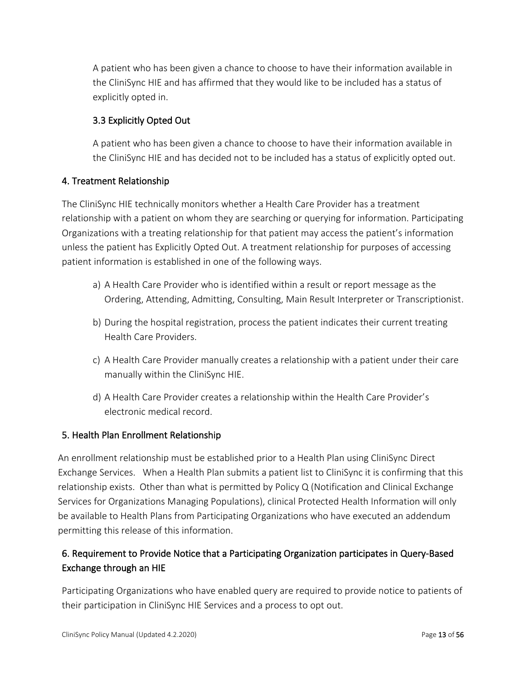A patient who has been given a chance to choose to have their information available in the CliniSync HIE and has affirmed that they would like to be included has a status of explicitly opted in.

# 3.3 Explicitly Opted Out

A patient who has been given a chance to choose to have their information available in the CliniSync HIE and has decided not to be included has a status of explicitly opted out.

## 4. Treatment Relationship

The CliniSync HIE technically monitors whether a Health Care Provider has a treatment relationship with a patient on whom they are searching or querying for information. Participating Organizations with a treating relationship for that patient may access the patient's information unless the patient has Explicitly Opted Out. A treatment relationship for purposes of accessing patient information is established in one of the following ways.

- a) A Health Care Provider who is identified within a result or report message as the Ordering, Attending, Admitting, Consulting, Main Result Interpreter or Transcriptionist.
- b) During the hospital registration, process the patient indicates their current treating Health Care Providers.
- c) A Health Care Provider manually creates a relationship with a patient under their care manually within the CliniSync HIE.
- d) A Health Care Provider creates a relationship within the Health Care Provider's electronic medical record.

## 5. Health Plan Enrollment Relationship

An enrollment relationship must be established prior to a Health Plan using CliniSync Direct Exchange Services. When a Health Plan submits a patient list to CliniSync it is confirming that this relationship exists. Other than what is permitted by Policy Q (Notification and Clinical Exchange Services for Organizations Managing Populations), clinical Protected Health Information will only be available to Health Plans from Participating Organizations who have executed an addendum permitting this release of this information.

# 6. Requirement to Provide Notice that a Participating Organization participates in Query-Based Exchange through an HIE

Participating Organizations who have enabled query are required to provide notice to patients of their participation in CliniSync HIE Services and a process to opt out.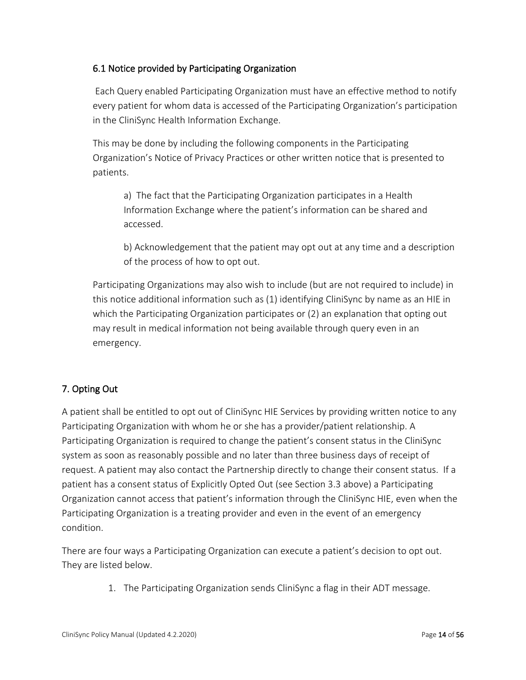# 6.1 Notice provided by Participating Organization

Each Query enabled Participating Organization must have an effective method to notify every patient for whom data is accessed of the Participating Organization's participation in the CliniSync Health Information Exchange.

This may be done by including the following components in the Participating Organization's Notice of Privacy Practices or other written notice that is presented to patients.

a) The fact that the Participating Organization participates in a Health Information Exchange where the patient's information can be shared and accessed.

b) Acknowledgement that the patient may opt out at any time and a description of the process of how to opt out.

Participating Organizations may also wish to include (but are not required to include) in this notice additional information such as (1) identifying CliniSync by name as an HIE in which the Participating Organization participates or (2) an explanation that opting out may result in medical information not being available through query even in an emergency.

# 7. Opting Out

A patient shall be entitled to opt out of CliniSync HIE Services by providing written notice to any Participating Organization with whom he or she has a provider/patient relationship. A Participating Organization is required to change the patient's consent status in the CliniSync system as soon as reasonably possible and no later than three business days of receipt of request. A patient may also contact the Partnership directly to change their consent status. If a patient has a consent status of Explicitly Opted Out (see Section 3.3 above) a Participating Organization cannot access that patient's information through the CliniSync HIE, even when the Participating Organization is a treating provider and even in the event of an emergency condition.

There are four ways a Participating Organization can execute a patient's decision to opt out. They are listed below.

1. The Participating Organization sends CliniSync a flag in their ADT message.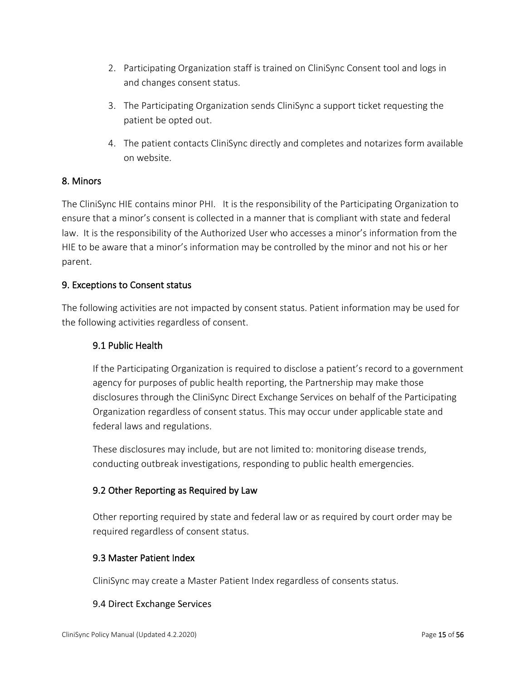- 2. Participating Organization staff is trained on CliniSync Consent tool and logs in and changes consent status.
- 3. The Participating Organization sends CliniSync a support ticket requesting the patient be opted out.
- 4. The patient contacts CliniSync directly and completes and notarizes form available on website.

#### 8. Minors

The CliniSync HIE contains minor PHI. It is the responsibility of the Participating Organization to ensure that a minor's consent is collected in a manner that is compliant with state and federal law. It is the responsibility of the Authorized User who accesses a minor's information from the HIE to be aware that a minor's information may be controlled by the minor and not his or her parent.

#### 9. Exceptions to Consent status

The following activities are not impacted by consent status. Patient information may be used for the following activities regardless of consent.

#### 9.1 Public Health

If the Participating Organization is required to disclose a patient's record to a government agency for purposes of public health reporting, the Partnership may make those disclosures through the CliniSync Direct Exchange Services on behalf of the Participating Organization regardless of consent status. This may occur under applicable state and federal laws and regulations.

These disclosures may include, but are not limited to: monitoring disease trends, conducting outbreak investigations, responding to public health emergencies.

#### 9.2 Other Reporting as Required by Law

Other reporting required by state and federal law or as required by court order may be required regardless of consent status.

#### 9.3 Master Patient Index

CliniSync may create a Master Patient Index regardless of consents status.

#### 9.4 Direct Exchange Services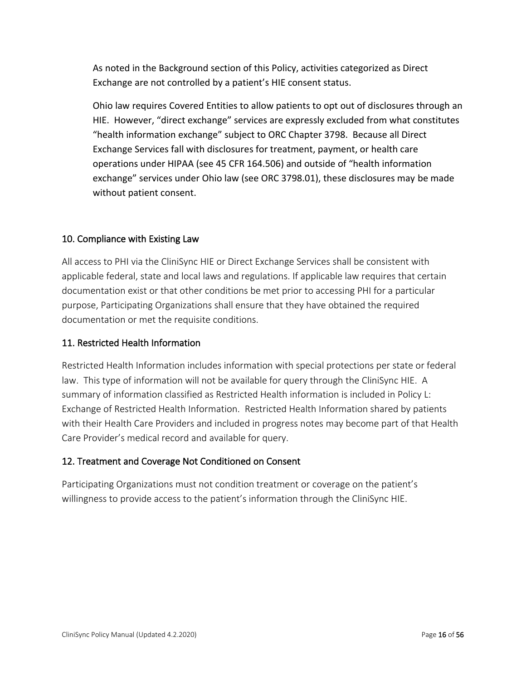As noted in the Background section of this Policy, activities categorized as Direct Exchange are not controlled by a patient's HIE consent status.

Ohio law requires Covered Entities to allow patients to opt out of disclosures through an HIE. However, "direct exchange" services are expressly excluded from what constitutes "health information exchange" subject to ORC Chapter 3798. Because all Direct Exchange Services fall with disclosures for treatment, payment, or health care operations under HIPAA (see 45 CFR 164.506) and outside of "health information exchange" services under Ohio law (see ORC 3798.01), these disclosures may be made without patient consent.

## 10. Compliance with Existing Law

All access to PHI via the CliniSync HIE or Direct Exchange Services shall be consistent with applicable federal, state and local laws and regulations. If applicable law requires that certain documentation exist or that other conditions be met prior to accessing PHI for a particular purpose, Participating Organizations shall ensure that they have obtained the required documentation or met the requisite conditions.

## 11. Restricted Health Information

Restricted Health Information includes information with special protections per state or federal law. This type of information will not be available for query through the CliniSync HIE. A summary of information classified as Restricted Health information is included in Policy L: Exchange of Restricted Health Information. Restricted Health Information shared by patients with their Health Care Providers and included in progress notes may become part of that Health Care Provider's medical record and available for query.

## 12. Treatment and Coverage Not Conditioned on Consent

Participating Organizations must not condition treatment or coverage on the patient's willingness to provide access to the patient's information through the CliniSync HIE.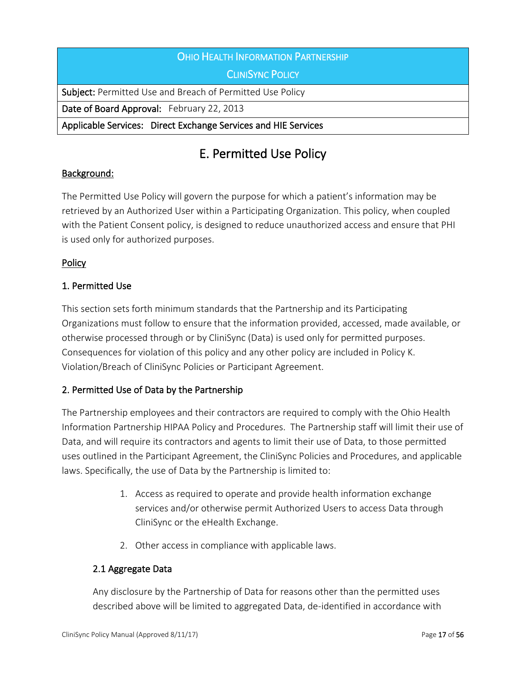# OHIO HEALTH INFORMATION PARTNERSHIP

CLINISYNC POLICY

Subject: Permitted Use and Breach of Permitted Use Policy

Date of Board Approval: February 22, 2013

Applicable Services: Direct Exchange Services and HIE Services

# E. Permitted Use Policy

## Background:

The Permitted Use Policy will govern the purpose for which a patient's information may be retrieved by an Authorized User within a Participating Organization. This policy, when coupled with the Patient Consent policy, is designed to reduce unauthorized access and ensure that PHI is used only for authorized purposes.

# **Policy**

# 1. Permitted Use

This section sets forth minimum standards that the Partnership and its Participating Organizations must follow to ensure that the information provided, accessed, made available, or otherwise processed through or by CliniSync (Data) is used only for permitted purposes. Consequences for violation of this policy and any other policy are included in Policy K. Violation/Breach of CliniSync Policies or Participant Agreement.

## 2. Permitted Use of Data by the Partnership

The Partnership employees and their contractors are required to comply with the Ohio Health Information Partnership HIPAA Policy and Procedures. The Partnership staff will limit their use of Data, and will require its contractors and agents to limit their use of Data, to those permitted uses outlined in the Participant Agreement, the CliniSync Policies and Procedures, and applicable laws. Specifically, the use of Data by the Partnership is limited to:

- 1. Access as required to operate and provide health information exchange services and/or otherwise permit Authorized Users to access Data through CliniSync or the eHealth Exchange.
- 2. Other access in compliance with applicable laws.

## 2.1 Aggregate Data

Any disclosure by the Partnership of Data for reasons other than the permitted uses described above will be limited to aggregated Data, de-identified in accordance with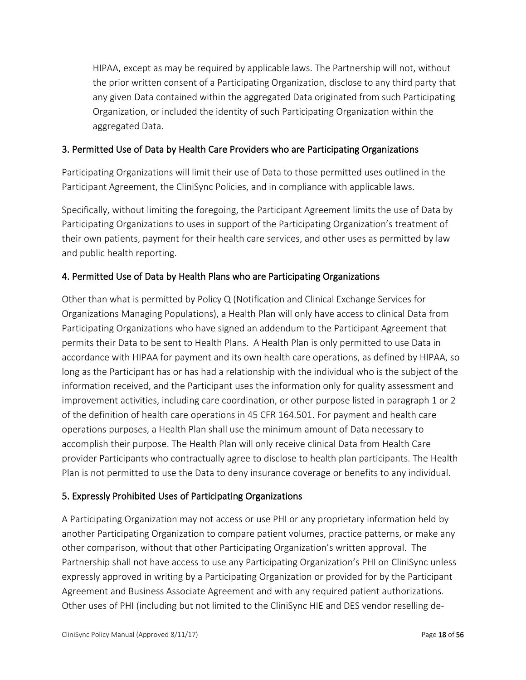HIPAA, except as may be required by applicable laws. The Partnership will not, without the prior written consent of a Participating Organization, disclose to any third party that any given Data contained within the aggregated Data originated from such Participating Organization, or included the identity of such Participating Organization within the aggregated Data.

# 3. Permitted Use of Data by Health Care Providers who are Participating Organizations

Participating Organizations will limit their use of Data to those permitted uses outlined in the Participant Agreement, the CliniSync Policies, and in compliance with applicable laws.

Specifically, without limiting the foregoing, the Participant Agreement limits the use of Data by Participating Organizations to uses in support of the Participating Organization's treatment of their own patients, payment for their health care services, and other uses as permitted by law and public health reporting.

## 4. Permitted Use of Data by Health Plans who are Participating Organizations

Other than what is permitted by Policy Q (Notification and Clinical Exchange Services for Organizations Managing Populations), a Health Plan will only have access to clinical Data from Participating Organizations who have signed an addendum to the Participant Agreement that permits their Data to be sent to Health Plans. A Health Plan is only permitted to use Data in accordance with HIPAA for payment and its own health care operations, as defined by HIPAA, so long as the Participant has or has had a relationship with the individual who is the subject of the information received, and the Participant uses the information only for quality assessment and improvement activities, including care coordination, or other purpose listed in paragraph 1 or 2 of the definition of health care operations in 45 CFR 164.501. For payment and health care operations purposes, a Health Plan shall use the minimum amount of Data necessary to accomplish their purpose. The Health Plan will only receive clinical Data from Health Care provider Participants who contractually agree to disclose to health plan participants. The Health Plan is not permitted to use the Data to deny insurance coverage or benefits to any individual.

## 5. Expressly Prohibited Uses of Participating Organizations

A Participating Organization may not access or use PHI or any proprietary information held by another Participating Organization to compare patient volumes, practice patterns, or make any other comparison, without that other Participating Organization's written approval. The Partnership shall not have access to use any Participating Organization's PHI on CliniSync unless expressly approved in writing by a Participating Organization or provided for by the Participant Agreement and Business Associate Agreement and with any required patient authorizations. Other uses of PHI (including but not limited to the CliniSync HIE and DES vendor reselling de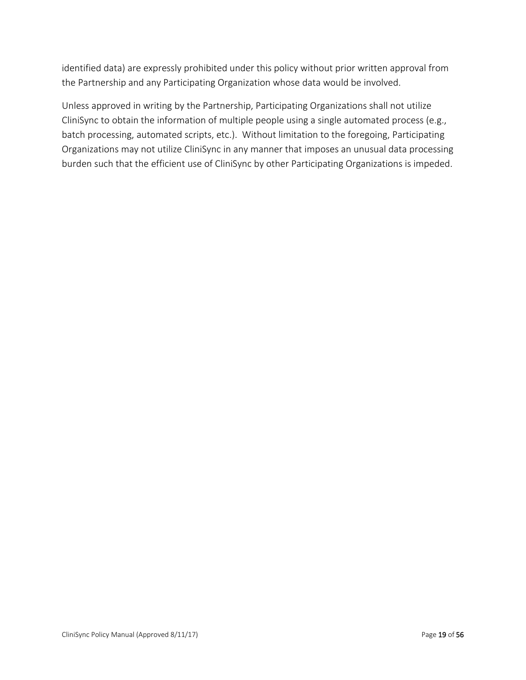identified data) are expressly prohibited under this policy without prior written approval from the Partnership and any Participating Organization whose data would be involved.

Unless approved in writing by the Partnership, Participating Organizations shall not utilize CliniSync to obtain the information of multiple people using a single automated process (e.g., batch processing, automated scripts, etc.). Without limitation to the foregoing, Participating Organizations may not utilize CliniSync in any manner that imposes an unusual data processing burden such that the efficient use of CliniSync by other Participating Organizations is impeded.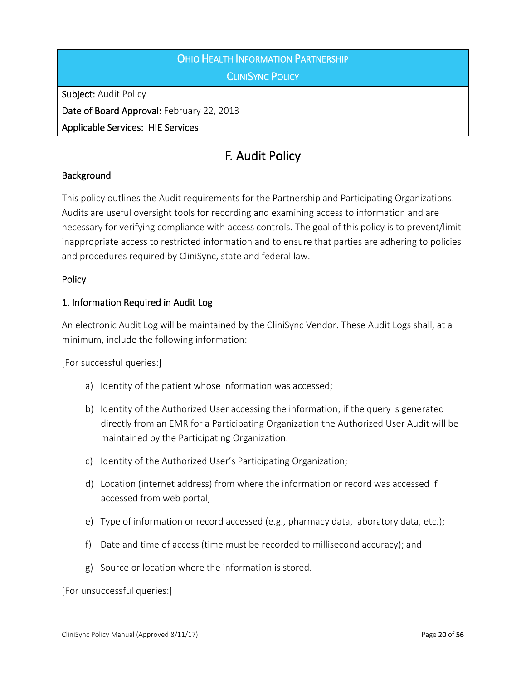# **OHIO HEALTH INFORMATION PARTNERSHIP**

**CLINISYNC POLICY** 

Subject: Audit Policy

Date of Board Approval: February 22, 2013

Applicable Services: HIE Services

# F. Audit Policy

## Background

This policy outlines the Audit requirements for the Partnership and Participating Organizations. Audits are useful oversight tools for recording and examining access to information and are necessary for verifying compliance with access controls. The goal of this policy is to prevent/limit inappropriate access to restricted information and to ensure that parties are adhering to policies and procedures required by CliniSync, state and federal law.

#### **Policy**

#### 1. Information Required in Audit Log

An electronic Audit Log will be maintained by the CliniSync Vendor. These Audit Logs shall, at a minimum, include the following information:

[For successful queries:]

- a) Identity of the patient whose information was accessed;
- b) Identity of the Authorized User accessing the information; if the query is generated directly from an EMR for a Participating Organization the Authorized User Audit will be maintained by the Participating Organization.
- c) Identity of the Authorized User's Participating Organization;
- d) Location (internet address) from where the information or record was accessed if accessed from web portal;
- e) Type of information or record accessed (e.g., pharmacy data, laboratory data, etc.);
- f) Date and time of access (time must be recorded to millisecond accuracy); and
- g) Source or location where the information is stored.

[For unsuccessful queries:]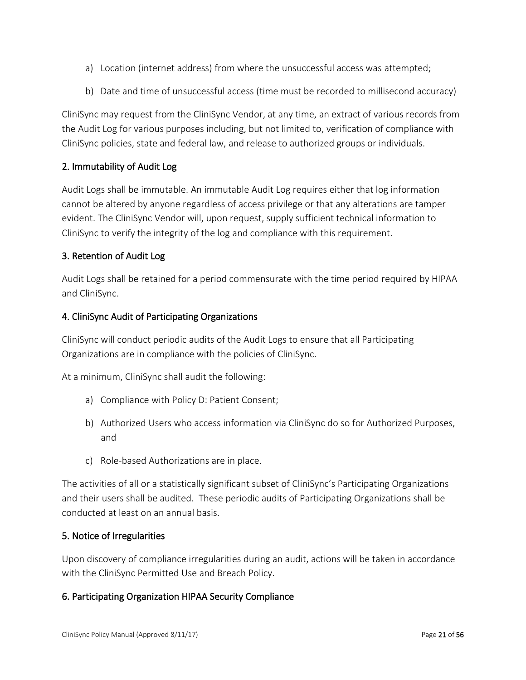- a) Location (internet address) from where the unsuccessful access was attempted;
- b) Date and time of unsuccessful access (time must be recorded to millisecond accuracy)

CliniSync may request from the CliniSync Vendor, at any time, an extract of various records from the Audit Log for various purposes including, but not limited to, verification of compliance with CliniSync policies, state and federal law, and release to authorized groups or individuals.

# 2. Immutability of Audit Log

Audit Logs shall be immutable. An immutable Audit Log requires either that log information cannot be altered by anyone regardless of access privilege or that any alterations are tamper evident. The CliniSync Vendor will, upon request, supply sufficient technical information to CliniSync to verify the integrity of the log and compliance with this requirement.

## 3. Retention of Audit Log

Audit Logs shall be retained for a period commensurate with the time period required by HIPAA and CliniSync.

#### 4. CliniSync Audit of Participating Organizations

CliniSync will conduct periodic audits of the Audit Logs to ensure that all Participating Organizations are in compliance with the policies of CliniSync.

At a minimum, CliniSync shall audit the following:

- a) Compliance with Policy D: Patient Consent;
- b) Authorized Users who access information via CliniSync do so for Authorized Purposes, and
- c) Role-based Authorizations are in place.

The activities of all or a statistically significant subset of CliniSync's Participating Organizations and their users shall be audited. These periodic audits of Participating Organizations shall be conducted at least on an annual basis.

#### 5. Notice of Irregularities

Upon discovery of compliance irregularities during an audit, actions will be taken in accordance with the CliniSync Permitted Use and Breach Policy.

#### 6. Participating Organization HIPAA Security Compliance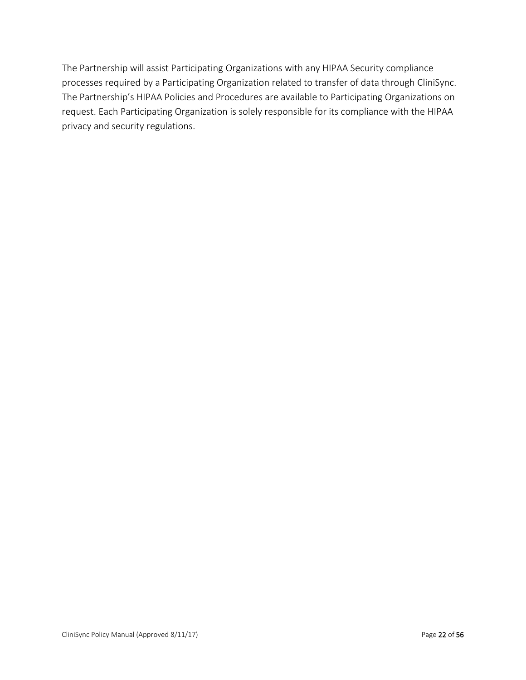The Partnership will assist Participating Organizations with any HIPAA Security compliance processes required by a Participating Organization related to transfer of data through CliniSync. The Partnership's HIPAA Policies and Procedures are available to Participating Organizations on request. Each Participating Organization is solely responsible for its compliance with the HIPAA privacy and security regulations.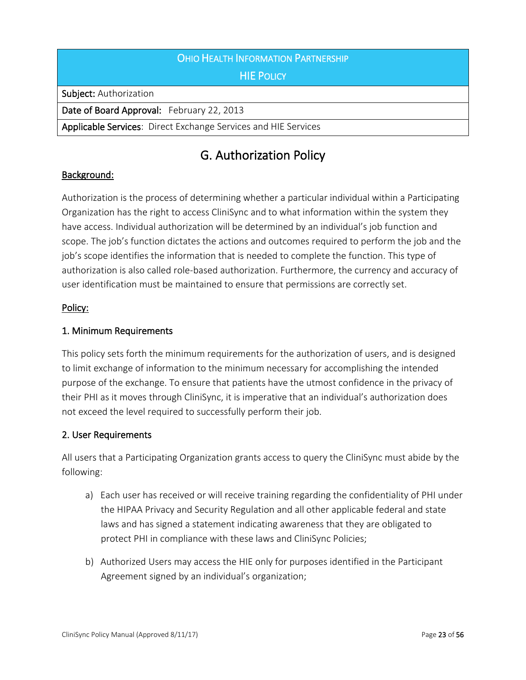# OHIO HEALTH INFORMATION PARTNERSHIP

## **HIE POLICY**

Subject: Authorization

Date of Board Approval: February 22, 2013

Applicable Services: Direct Exchange Services and HIE Services

# G. Authorization Policy

#### Background:

Authorization is the process of determining whether a particular individual within a Participating Organization has the right to access CliniSync and to what information within the system they have access. Individual authorization will be determined by an individual's job function and scope. The job's function dictates the actions and outcomes required to perform the job and the job's scope identifies the information that is needed to complete the function. This type of authorization is also called role-based authorization. Furthermore, the currency and accuracy of user identification must be maintained to ensure that permissions are correctly set.

#### Policy:

#### 1. Minimum Requirements

This policy sets forth the minimum requirements for the authorization of users, and is designed to limit exchange of information to the minimum necessary for accomplishing the intended purpose of the exchange. To ensure that patients have the utmost confidence in the privacy of their PHI as it moves through CliniSync, it is imperative that an individual's authorization does not exceed the level required to successfully perform their job.

#### 2. User Requirements

All users that a Participating Organization grants access to query the CliniSync must abide by the following:

- a) Each user has received or will receive training regarding the confidentiality of PHI under the HIPAA Privacy and Security Regulation and all other applicable federal and state laws and has signed a statement indicating awareness that they are obligated to protect PHI in compliance with these laws and CliniSync Policies;
- b) Authorized Users may access the HIE only for purposes identified in the Participant Agreement signed by an individual's organization;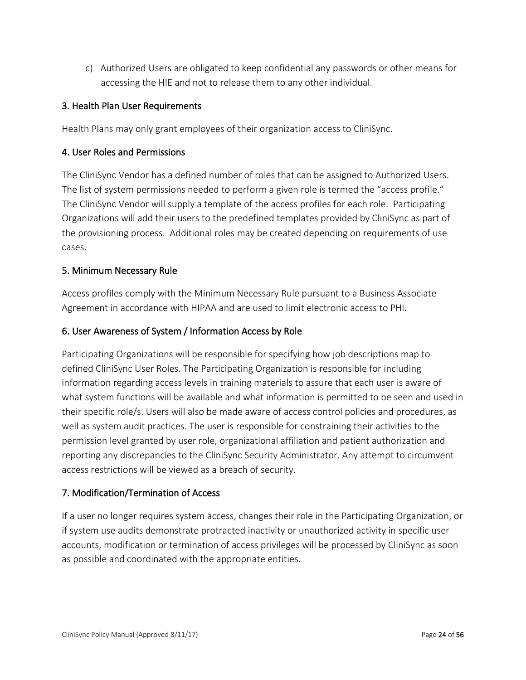c) Authorized Users are obligated to keep confidential any passwords or other means for accessing the HIE and not to release them to any other individual.

## 3. Health Plan User Requirements

Health Plans may only grant employees of their organization access to CliniSync.

#### 4. User Roles and Permissions

The CliniSync Vendor has a defined number of roles that can be assigned to Authorized Users. The list of system permissions needed to perform a given role is termed the "access profile." The CliniSync Vendor will supply a template of the access profiles for each role. Participating Organizations will add their users to the predefined templates provided by CliniSync as part of the provisioning process. Additional roles may be created depending on requirements of use cases.

#### 5. Minimum Necessary Rule

Access profiles comply with the Minimum Necessary Rule pursuant to a Business Associate Agreement in accordance with HIPAA and are used to limit electronic access to PHI.

#### 6. User Awareness of System / Information Access by Role

Participating Organizations will be responsible for specifying how job descriptions map to defined CliniSync User Roles. The Participating Organization is responsible for including information regarding access levels in training materials to assure that each user is aware of what system functions will be available and what information is permitted to be seen and used in their specific role/s. Users will also be made aware of access control policies and procedures, as well as system audit practices. The user is responsible for constraining their activities to the permission level granted by user role, organizational affiliation and patient authorization and reporting any discrepancies to the CliniSync Security Administrator. Any attempt to circumvent access restrictions will be viewed as a breach of security.

## 7. Modification/Termination of Access

If a user no longer requires system access, changes their role in the Participating Organization, or if system use audits demonstrate protracted inactivity or unauthorized activity in specific user accounts, modification or termination of access privileges will be processed by CliniSync as soon as possible and coordinated with the appropriate entities.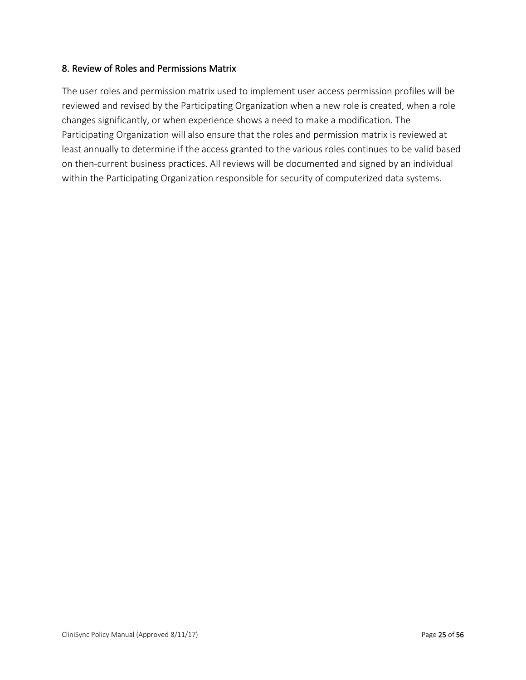#### 8. Review of Roles and Permissions Matrix

The user roles and permission matrix used to implement user access permission profiles will be reviewed and revised by the Participating Organization when a new role is created, when a role changes significantly, or when experience shows a need to make a modification. The Participating Organization will also ensure that the roles and permission matrix is reviewed at least annually to determine if the access granted to the various roles continues to be valid based on then-current business practices. All reviews will be documented and signed by an individual within the Participating Organization responsible for security of computerized data systems.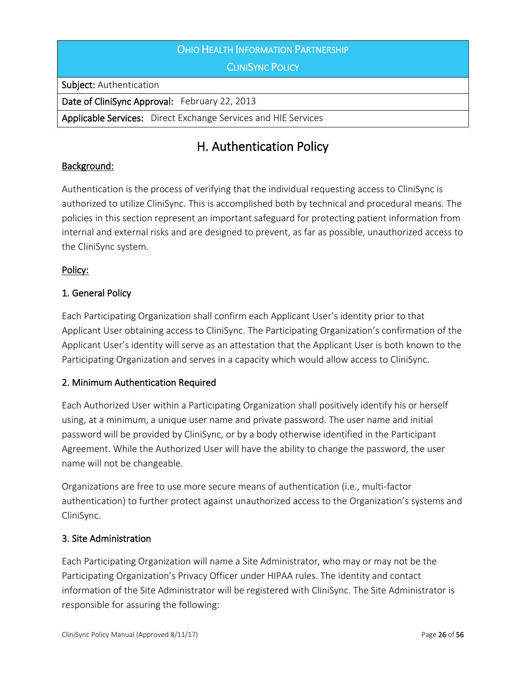| OHIO HEALTH INFORMATION PARTNERSHIP                                   |
|-----------------------------------------------------------------------|
| <b>CLINISYNC POLICY</b>                                               |
| <b>Subject: Authentication</b>                                        |
| Date of CliniSync Approval: February 22, 2013                         |
| <b>Applicable Services:</b> Direct Exchange Services and HIE Services |

# H. Authentication Policy

# Background:

Authentication is the process of verifying that the individual requesting access to CliniSync is authorized to utilize CliniSync. This is accomplished both by technical and procedural means. The policies in this section represent an important safeguard for protecting patient information from internal and external risks and are designed to prevent, as far as possible, unauthorized access to the CliniSync system.

# Policy:

# 1. General Policy

Each Participating Organization shall confirm each Applicant User's identity prior to that Applicant User obtaining access to CliniSync. The Participating Organization's confirmation of the Applicant User's identity will serve as an attestation that the Applicant User is both known to the Participating Organization and serves in a capacity which would allow access to CliniSync.

## 2. Minimum Authentication Required

Each Authorized User within a Participating Organization shall positively identify his or herself using, at a minimum, a unique user name and private password. The user name and initial password will be provided by CliniSync, or by a body otherwise identified in the Participant Agreement. While the Authorized User will have the ability to change the password, the user name will not be changeable.

Organizations are free to use more secure means of authentication (i.e., multi-factor authentication) to further protect against unauthorized access to the Organization's systems and CliniSync.

## 3. Site Administration

Each Participating Organization will name a Site Administrator, who may or may not be the Participating Organization's Privacy Officer under HIPAA rules. The identity and contact information of the Site Administrator will be registered with CliniSync. The Site Administrator is responsible for assuring the following: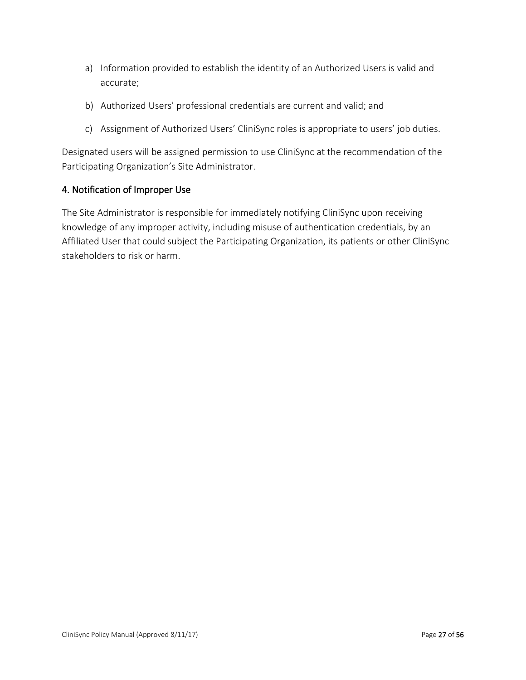- a) Information provided to establish the identity of an Authorized Users is valid and accurate;
- b) Authorized Users' professional credentials are current and valid; and
- c) Assignment of Authorized Users' CliniSync roles is appropriate to users' job duties.

Designated users will be assigned permission to use CliniSync at the recommendation of the Participating Organization's Site Administrator.

#### 4. Notification of Improper Use

The Site Administrator is responsible for immediately notifying CliniSync upon receiving knowledge of any improper activity, including misuse of authentication credentials, by an Affiliated User that could subject the Participating Organization, its patients or other CliniSync stakeholders to risk or harm.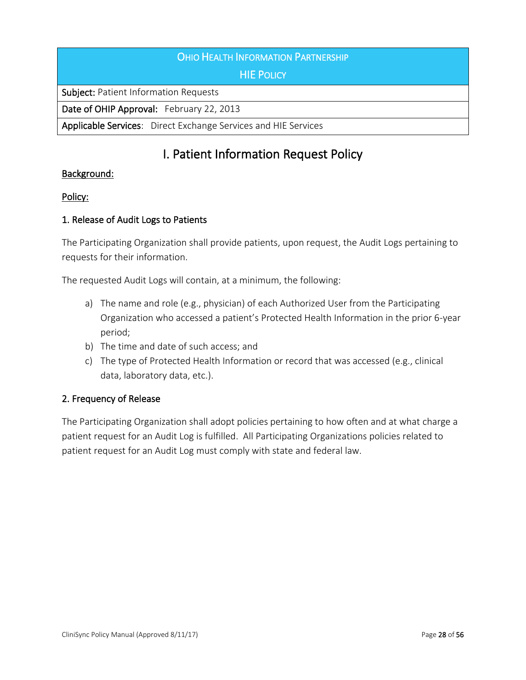### **OHIO HEALTH INFORMATION PARTNERSHIP**

## HIE POLICY

Subject: Patient Information Requests

Date of OHIP Approval: February 22, 2013

Applicable Services: Direct Exchange Services and HIE Services

# I. Patient Information Request Policy

#### Background:

#### Policy:

#### 1. Release of Audit Logs to Patients

The Participating Organization shall provide patients, upon request, the Audit Logs pertaining to requests for their information.

The requested Audit Logs will contain, at a minimum, the following:

- a) The name and role (e.g., physician) of each Authorized User from the Participating Organization who accessed a patient's Protected Health Information in the prior 6-year period;
- b) The time and date of such access; and
- c) The type of Protected Health Information or record that was accessed (e.g., clinical data, laboratory data, etc.).

#### 2. Frequency of Release

The Participating Organization shall adopt policies pertaining to how often and at what charge a patient request for an Audit Log is fulfilled. All Participating Organizations policies related to patient request for an Audit Log must comply with state and federal law.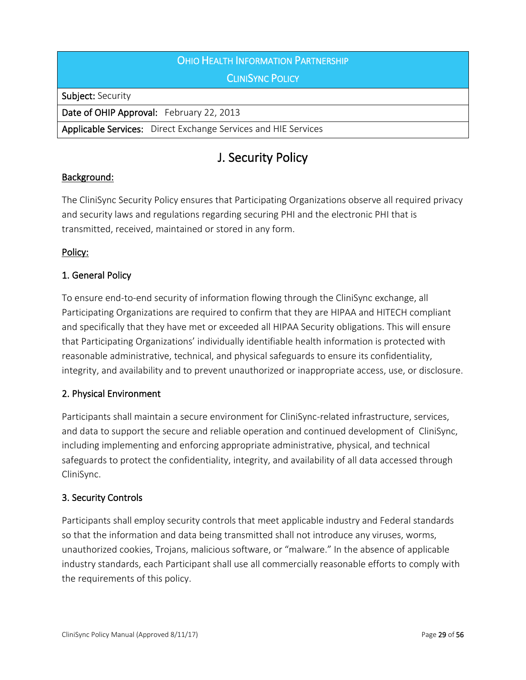# **OHIO HEALTH INFORMATION PARTNERSHIP**

# **CLINISYNC POLICY**

Subject: Security

Date of OHIP Approval: February 22, 2013

Applicable Services: Direct Exchange Services and HIE Services

# J. Security Policy

#### Background:

The CliniSync Security Policy ensures that Participating Organizations observe all required privacy and security laws and regulations regarding securing PHI and the electronic PHI that is transmitted, received, maintained or stored in any form.

#### Policy:

## 1. General Policy

To ensure end-to-end security of information flowing through the CliniSync exchange, all Participating Organizations are required to confirm that they are HIPAA and HITECH compliant and specifically that they have met or exceeded all HIPAA Security obligations. This will ensure that Participating Organizations' individually identifiable health information is protected with reasonable administrative, technical, and physical safeguards to ensure its confidentiality, integrity, and availability and to prevent unauthorized or inappropriate access, use, or disclosure.

#### 2. Physical Environment

Participants shall maintain a secure environment for CliniSync-related infrastructure, services, and data to support the secure and reliable operation and continued development of CliniSync, including implementing and enforcing appropriate administrative, physical, and technical safeguards to protect the confidentiality, integrity, and availability of all data accessed through CliniSync.

#### 3. Security Controls

Participants shall employ security controls that meet applicable industry and Federal standards so that the information and data being transmitted shall not introduce any viruses, worms, unauthorized cookies, Trojans, malicious software, or "malware." In the absence of applicable industry standards, each Participant shall use all commercially reasonable efforts to comply with the requirements of this policy.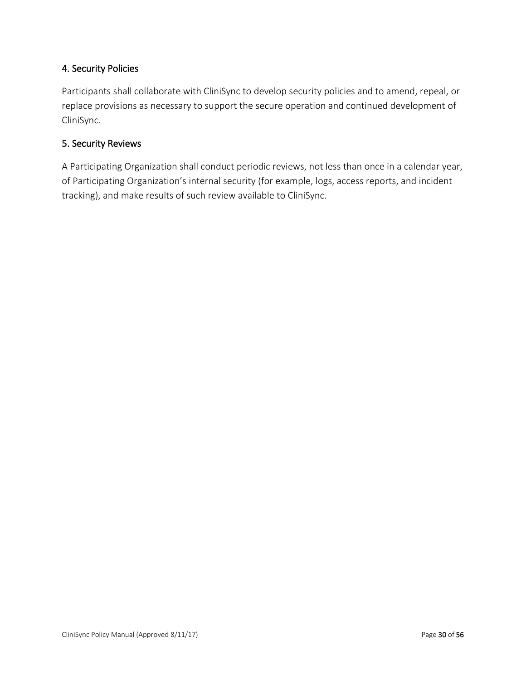# 4. Security Policies

Participants shall collaborate with CliniSync to develop security policies and to amend, repeal, or replace provisions as necessary to support the secure operation and continued development of CliniSync.

#### 5. Security Reviews

A Participating Organization shall conduct periodic reviews, not less than once in a calendar year, of Participating Organization's internal security (for example, logs, access reports, and incident tracking), and make results of such review available to CliniSync.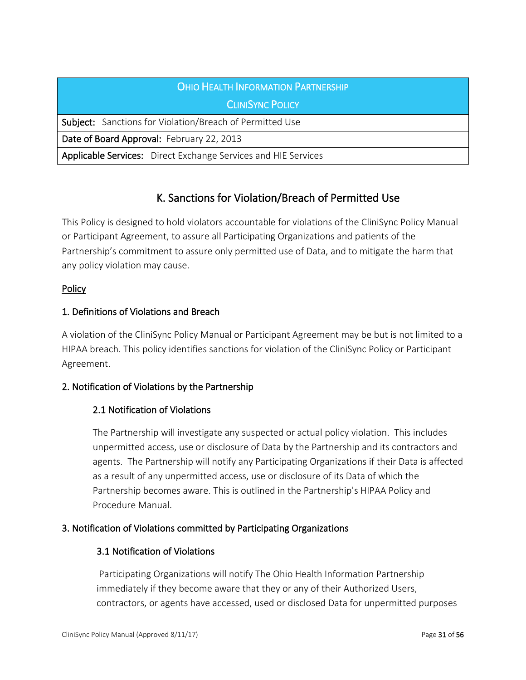| <b>OHIO HEALTH INFORMATION PARTNERSHIP</b>                            |
|-----------------------------------------------------------------------|
| <b>CLINISYNC POLICY</b>                                               |
| <b>Subject:</b> Sanctions for Violation/Breach of Permitted Use       |
| Date of Board Approval: February 22, 2013                             |
| <b>Applicable Services:</b> Direct Exchange Services and HIE Services |

# K. Sanctions for Violation/Breach of Permitted Use

This Policy is designed to hold violators accountable for violations of the CliniSync Policy Manual or Participant Agreement, to assure all Participating Organizations and patients of the Partnership's commitment to assure only permitted use of Data, and to mitigate the harm that any policy violation may cause.

## **Policy**

# 1. Definitions of Violations and Breach

A violation of the CliniSync Policy Manual or Participant Agreement may be but is not limited to a HIPAA breach. This policy identifies sanctions for violation of the CliniSync Policy or Participant Agreement.

## 2. Notification of Violations by the Partnership

# 2.1 Notification of Violations

The Partnership will investigate any suspected or actual policy violation. This includes unpermitted access, use or disclosure of Data by the Partnership and its contractors and agents. The Partnership will notify any Participating Organizations if their Data is affected as a result of any unpermitted access, use or disclosure of its Data of which the Partnership becomes aware. This is outlined in the Partnership's HIPAA Policy and Procedure Manual.

## 3. Notification of Violations committed by Participating Organizations

## 3.1 Notification of Violations

 Participating Organizations will notify The Ohio Health Information Partnership immediately if they become aware that they or any of their Authorized Users, contractors, or agents have accessed, used or disclosed Data for unpermitted purposes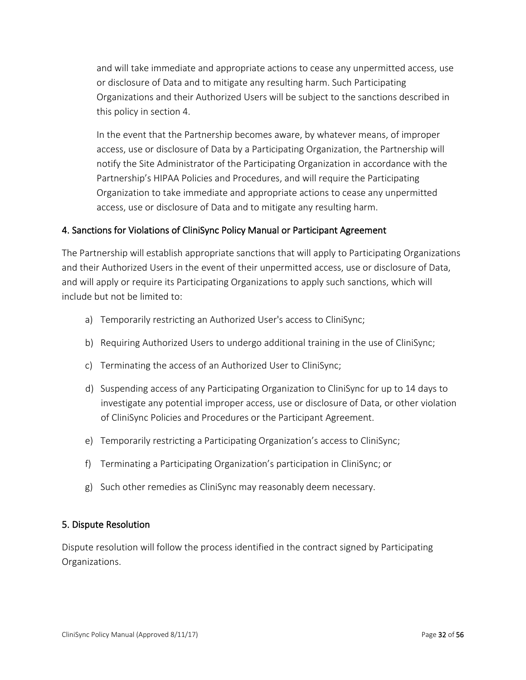and will take immediate and appropriate actions to cease any unpermitted access, use or disclosure of Data and to mitigate any resulting harm. Such Participating Organizations and their Authorized Users will be subject to the sanctions described in this policy in section 4.

In the event that the Partnership becomes aware, by whatever means, of improper access, use or disclosure of Data by a Participating Organization, the Partnership will notify the Site Administrator of the Participating Organization in accordance with the Partnership's HIPAA Policies and Procedures, and will require the Participating Organization to take immediate and appropriate actions to cease any unpermitted access, use or disclosure of Data and to mitigate any resulting harm.

## 4. Sanctions for Violations of CliniSync Policy Manual or Participant Agreement

The Partnership will establish appropriate sanctions that will apply to Participating Organizations and their Authorized Users in the event of their unpermitted access, use or disclosure of Data, and will apply or require its Participating Organizations to apply such sanctions, which will include but not be limited to:

- a) Temporarily restricting an Authorized User's access to CliniSync;
- b) Requiring Authorized Users to undergo additional training in the use of CliniSync;
- c) Terminating the access of an Authorized User to CliniSync;
- d) Suspending access of any Participating Organization to CliniSync for up to 14 days to investigate any potential improper access, use or disclosure of Data, or other violation of CliniSync Policies and Procedures or the Participant Agreement.
- e) Temporarily restricting a Participating Organization's access to CliniSync;
- f) Terminating a Participating Organization's participation in CliniSync; or
- g) Such other remedies as CliniSync may reasonably deem necessary.

#### 5. Dispute Resolution

Dispute resolution will follow the process identified in the contract signed by Participating Organizations.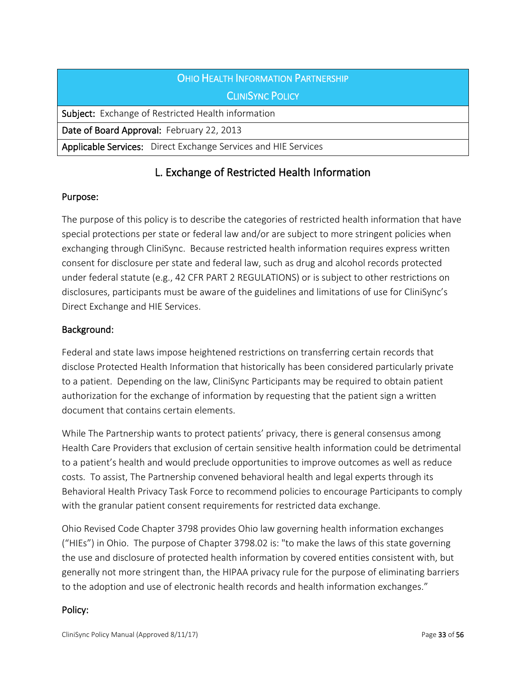| OHIO HEALTH INFORMATION PARTNERSHIP                            |
|----------------------------------------------------------------|
| <b>CLINISYNC POLICY</b>                                        |
| <b>Subject:</b> Exchange of Restricted Health information      |
| Date of Board Approval: February 22, 2013                      |
| Applicable Services: Direct Exchange Services and HIE Services |

# L. Exchange of Restricted Health Information

#### Purpose:

The purpose of this policy is to describe the categories of restricted health information that have special protections per state or federal law and/or are subject to more stringent policies when exchanging through CliniSync. Because restricted health information requires express written consent for disclosure per state and federal law, such as drug and alcohol records protected under federal statute (e.g., 42 CFR PART 2 REGULATIONS) or is subject to other restrictions on disclosures, participants must be aware of the guidelines and limitations of use for CliniSync's Direct Exchange and HIE Services.

## Background:

Federal and state laws impose heightened restrictions on transferring certain records that disclose Protected Health Information that historically has been considered particularly private to a patient. Depending on the law, CliniSync Participants may be required to obtain patient authorization for the exchange of information by requesting that the patient sign a written document that contains certain elements.

While The Partnership wants to protect patients' privacy, there is general consensus among Health Care Providers that exclusion of certain sensitive health information could be detrimental to a patient's health and would preclude opportunities to improve outcomes as well as reduce costs. To assist, The Partnership convened behavioral health and legal experts through its Behavioral Health Privacy Task Force to recommend policies to encourage Participants to comply with the granular patient consent requirements for restricted data exchange.

Ohio Revised Code Chapter 3798 provides Ohio law governing health information exchanges ("HIEs") in Ohio. The purpose of Chapter 3798.02 is: "to make the laws of this state governing the use and disclosure of protected health information by covered entities consistent with, but generally not more stringent than, the HIPAA privacy rule for the purpose of eliminating barriers to the adoption and use of electronic health records and health information exchanges."

#### Policy: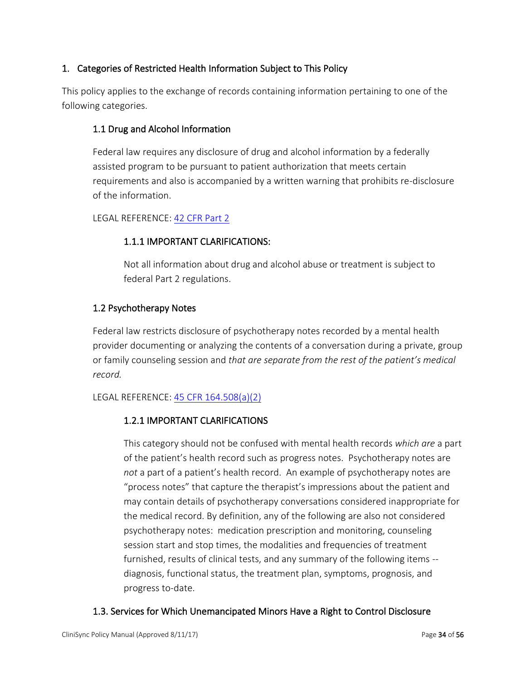# 1. Categories of Restricted Health Information Subject to This Policy

This policy applies to the exchange of records containing information pertaining to one of the following categories.

# 1.1 Drug and Alcohol Information

Federal law requires any disclosure of drug and alcohol information by a federally assisted program to be pursuant to patient authorization that meets certain requirements and also is accompanied by a written warning that prohibits re-disclosure of the information.

## LEGAL REFERENCE[: 42 CFR Part 2](http://www.ecfr.gov/cgi-bin/retrieveECFR?gp=1&SID=844a8f86db7d591a2155b0f7a1e62886&ty=HTML&h=L&n=42y1.0.1.1.2&r=PART)

# 1.1.1 IMPORTANT CLARIFICATIONS:

Not all information about drug and alcohol abuse or treatment is subject to federal Part 2 regulations.

## 1.2 Psychotherapy Notes

Federal law restricts disclosure of psychotherapy notes recorded by a mental health provider documenting or analyzing the contents of a conversation during a private, group or family counseling session and *that are separate from the rest of the patient's medical record.* 

## LEGAL REFERENCE[: 45 CFR 164.508\(a\)\(2\)](http://www.ecfr.gov/cgi-bin/retrieveECFR?gp=1&SID=4926a3788ea5b7a16ecc97ce05c74ceb&ty=HTML&h=L&r=SECTION&n=45y1.0.1.3.79.5.27.6)

## 1.2.1 IMPORTANT CLARIFICATIONS

This category should not be confused with mental health records *which are* a part of the patient's health record such as progress notes. Psychotherapy notes are *not* a part of a patient's health record. An example of psychotherapy notes are "process notes" that capture the therapist's impressions about the patient and may contain details of psychotherapy conversations considered inappropriate for the medical record. By definition, any of the following are also not considered psychotherapy notes: medication prescription and monitoring, counseling session start and stop times, the modalities and frequencies of treatment furnished, results of clinical tests, and any summary of the following items - diagnosis, functional status, the treatment plan, symptoms, prognosis, and progress to-date.

## 1.3. Services for Which Unemancipated Minors Have a Right to Control Disclosure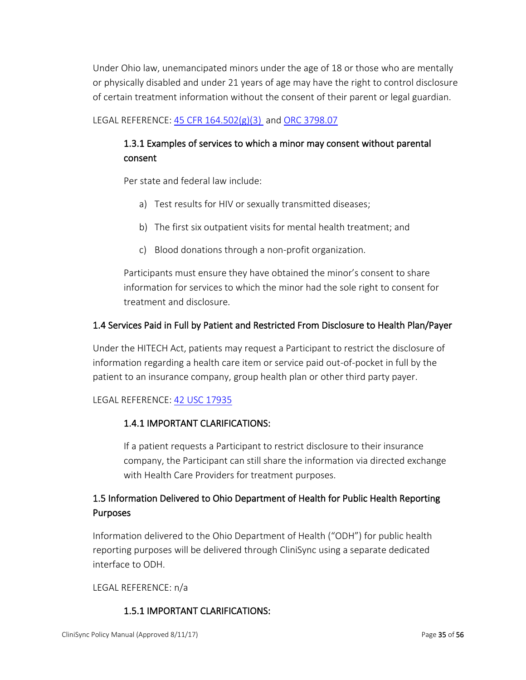Under Ohio law, unemancipated minors under the age of 18 or those who are mentally or physically disabled and under 21 years of age may have the right to control disclosure of certain treatment information without the consent of their parent or legal guardian.

# LEGAL REFERENCE[: 45 CFR 164.502\(g\)\(3\)](http://www.ecfr.gov/cgi-bin/retrieveECFR?gp=1&SID=f018cc32d57f2ee631e9395ff90675ee&ty=HTML&h=L&r=SECTION&n=45y1.0.1.3.79.5.27.3) and [ORC 3798.07](http://codes.ohio.gov/orc/3798.07)

# 1.3.1 Examples of services to which a minor may consent without parental consent

Per state and federal law include:

- a) Test results for HIV or sexually transmitted diseases;
- b) The first six outpatient visits for mental health treatment; and
- c) Blood donations through a non-profit organization.

Participants must ensure they have obtained the minor's consent to share information for services to which the minor had the sole right to consent for treatment and disclosure.

#### 1.4 Services Paid in Full by Patient and Restricted From Disclosure to Health Plan/Payer

Under the HITECH Act, patients may request a Participant to restrict the disclosure of information regarding a health care item or service paid out-of-pocket in full by the patient to an insurance company, group health plan or other third party payer.

#### LEGAL REFERENCE[: 42 USC 17935](http://www.gpo.gov/fdsys/pkg/USCODE-2010-title42/html/USCODE-2010-title42-chap156-subchapIII-partA-sec17935.htm)

## 1.4.1 IMPORTANT CLARIFICATIONS:

If a patient requests a Participant to restrict disclosure to their insurance company, the Participant can still share the information via directed exchange with Health Care Providers for treatment purposes.

# 1.5 Information Delivered to Ohio Department of Health for Public Health Reporting Purposes

Information delivered to the Ohio Department of Health ("ODH") for public health reporting purposes will be delivered through CliniSync using a separate dedicated interface to ODH.

LEGAL REFERENCE: n/a

## 1.5.1 IMPORTANT CLARIFICATIONS: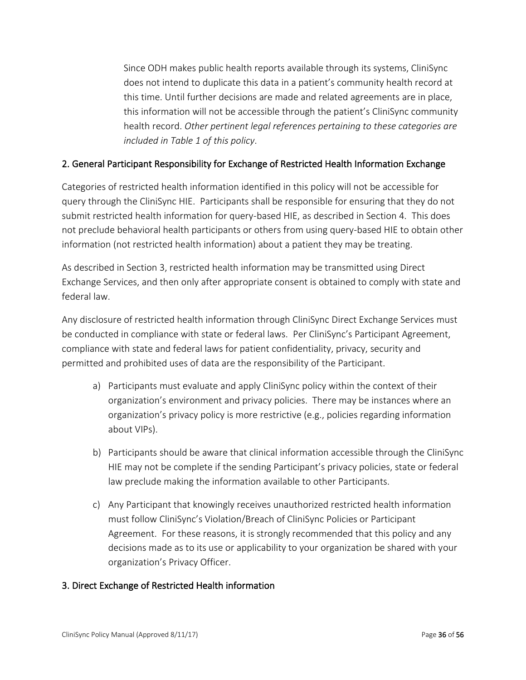Since ODH makes public health reports available through its systems, CliniSync does not intend to duplicate this data in a patient's community health record at this time. Until further decisions are made and related agreements are in place, this information will not be accessible through the patient's CliniSync community health record. *Other pertinent legal references pertaining to these categories are included in Table 1 of this policy*.

## 2. General Participant Responsibility for Exchange of Restricted Health Information Exchange

Categories of restricted health information identified in this policy will not be accessible for query through the CliniSync HIE. Participants shall be responsible for ensuring that they do not submit restricted health information for query-based HIE, as described in Section 4. This does not preclude behavioral health participants or others from using query-based HIE to obtain other information (not restricted health information) about a patient they may be treating.

As described in Section 3, restricted health information may be transmitted using Direct Exchange Services, and then only after appropriate consent is obtained to comply with state and federal law.

Any disclosure of restricted health information through CliniSync Direct Exchange Services must be conducted in compliance with state or federal laws. Per CliniSync's Participant Agreement, compliance with state and federal laws for patient confidentiality, privacy, security and permitted and prohibited uses of data are the responsibility of the Participant.

- a) Participants must evaluate and apply CliniSync policy within the context of their organization's environment and privacy policies. There may be instances where an organization's privacy policy is more restrictive (e.g., policies regarding information about VIPs).
- b) Participants should be aware that clinical information accessible through the CliniSync HIE may not be complete if the sending Participant's privacy policies, state or federal law preclude making the information available to other Participants.
- c) Any Participant that knowingly receives unauthorized restricted health information must follow CliniSync's Violation/Breach of CliniSync Policies or Participant Agreement. For these reasons, it is strongly recommended that this policy and any decisions made as to its use or applicability to your organization be shared with your organization's Privacy Officer.

## 3. Direct Exchange of Restricted Health information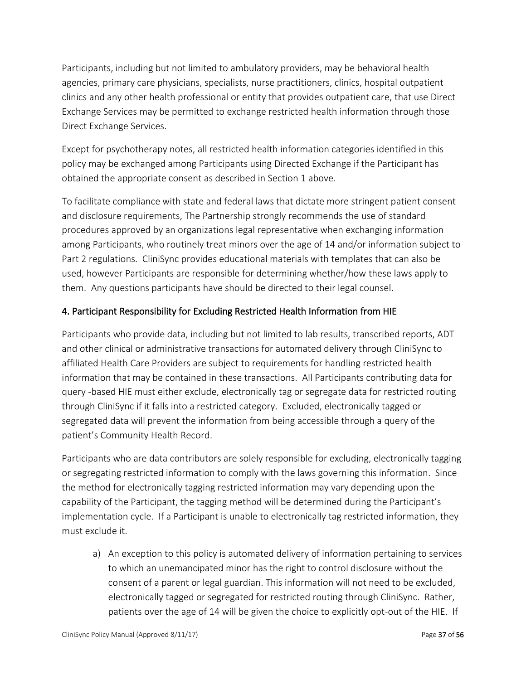Participants, including but not limited to ambulatory providers, may be behavioral health agencies, primary care physicians, specialists, nurse practitioners, clinics, hospital outpatient clinics and any other health professional or entity that provides outpatient care, that use Direct Exchange Services may be permitted to exchange restricted health information through those Direct Exchange Services.

Except for psychotherapy notes, all restricted health information categories identified in this policy may be exchanged among Participants using Directed Exchange if the Participant has obtained the appropriate consent as described in Section 1 above.

To facilitate compliance with state and federal laws that dictate more stringent patient consent and disclosure requirements, The Partnership strongly recommends the use of standard procedures approved by an organizations legal representative when exchanging information among Participants, who routinely treat minors over the age of 14 and/or information subject to Part 2 regulations. CliniSync provides educational materials with templates that can also be used, however Participants are responsible for determining whether/how these laws apply to them. Any questions participants have should be directed to their legal counsel.

# 4. Participant Responsibility for Excluding Restricted Health Information from HIE

Participants who provide data, including but not limited to lab results, transcribed reports, ADT and other clinical or administrative transactions for automated delivery through CliniSync to affiliated Health Care Providers are subject to requirements for handling restricted health information that may be contained in these transactions. All Participants contributing data for query -based HIE must either exclude, electronically tag or segregate data for restricted routing through CliniSync if it falls into a restricted category. Excluded, electronically tagged or segregated data will prevent the information from being accessible through a query of the patient's Community Health Record.

Participants who are data contributors are solely responsible for excluding, electronically tagging or segregating restricted information to comply with the laws governing this information. Since the method for electronically tagging restricted information may vary depending upon the capability of the Participant, the tagging method will be determined during the Participant's implementation cycle. If a Participant is unable to electronically tag restricted information, they must exclude it.

a) An exception to this policy is automated delivery of information pertaining to services to which an unemancipated minor has the right to control disclosure without the consent of a parent or legal guardian. This information will not need to be excluded, electronically tagged or segregated for restricted routing through CliniSync. Rather, patients over the age of 14 will be given the choice to explicitly opt-out of the HIE. If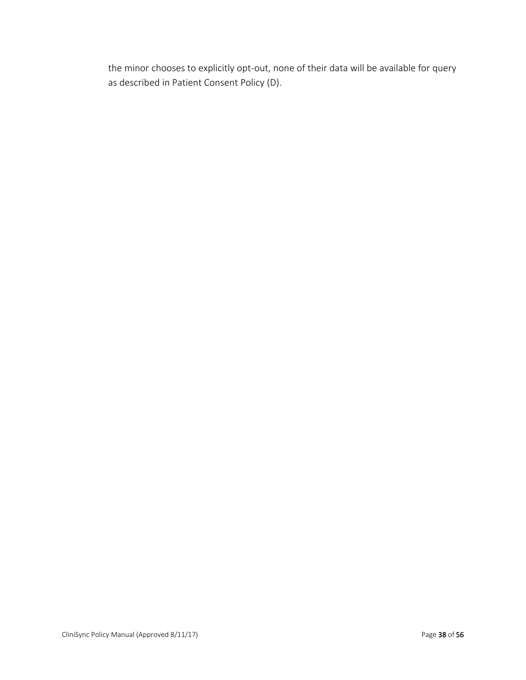the minor chooses to explicitly opt-out, none of their data will be available for query as described in Patient Consent Policy (D).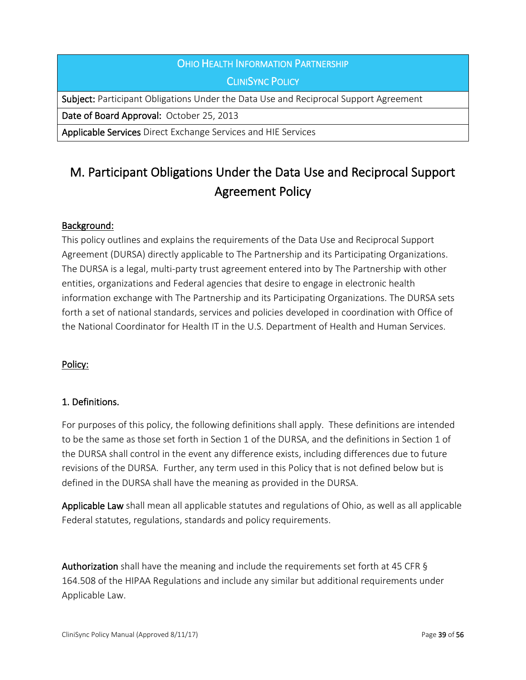# OHIO HEALTH INFORMATION PARTNERSHIP CLINISYNC POLICY

Subject: Participant Obligations Under the Data Use and Reciprocal Support Agreement

Date of Board Approval: October 25, 2013

Applicable Services Direct Exchange Services and HIE Services

# M. Participant Obligations Under the Data Use and Reciprocal Support Agreement Policy

## Background:

This policy outlines and explains the requirements of the Data Use and Reciprocal Support Agreement (DURSA) directly applicable to The Partnership and its Participating Organizations. The DURSA is a legal, multi-party trust agreement entered into by The Partnership with other entities, organizations and Federal agencies that desire to engage in electronic health information exchange with The Partnership and its Participating Organizations. The DURSA sets forth a set of national standards, services and policies developed in coordination with Office of the National Coordinator for Health IT in the U.S. Department of Health and Human Services.

## Policy:

## 1. Definitions.

For purposes of this policy, the following definitions shall apply. These definitions are intended to be the same as those set forth in Section 1 of the DURSA, and the definitions in Section 1 of the DURSA shall control in the event any difference exists, including differences due to future revisions of the DURSA. Further, any term used in this Policy that is not defined below but is defined in the DURSA shall have the meaning as provided in the DURSA.

Applicable Law shall mean all applicable statutes and regulations of Ohio, as well as all applicable Federal statutes, regulations, standards and policy requirements.

Authorization shall have the meaning and include the requirements set forth at 45 CFR § 164.508 of the HIPAA Regulations and include any similar but additional requirements under Applicable Law.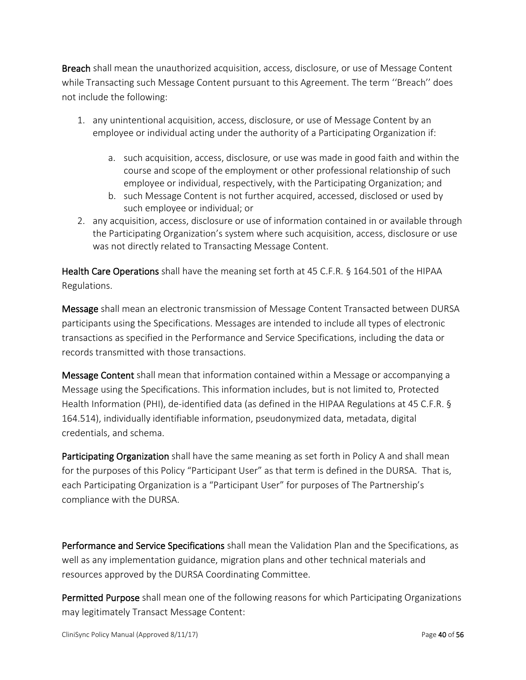Breach shall mean the unauthorized acquisition, access, disclosure, or use of Message Content while Transacting such Message Content pursuant to this Agreement. The term ''Breach'' does not include the following:

- 1. any unintentional acquisition, access, disclosure, or use of Message Content by an employee or individual acting under the authority of a Participating Organization if:
	- a. such acquisition, access, disclosure, or use was made in good faith and within the course and scope of the employment or other professional relationship of such employee or individual, respectively, with the Participating Organization; and
	- b. such Message Content is not further acquired, accessed, disclosed or used by such employee or individual; or
- 2. any acquisition, access, disclosure or use of information contained in or available through the Participating Organization's system where such acquisition, access, disclosure or use was not directly related to Transacting Message Content.

Health Care Operations shall have the meaning set forth at 45 C.F.R. § 164.501 of the HIPAA Regulations.

Message shall mean an electronic transmission of Message Content Transacted between DURSA participants using the Specifications. Messages are intended to include all types of electronic transactions as specified in the Performance and Service Specifications, including the data or records transmitted with those transactions.

Message Content shall mean that information contained within a Message or accompanying a Message using the Specifications. This information includes, but is not limited to, Protected Health Information (PHI), de-identified data (as defined in the HIPAA Regulations at 45 C.F.R. § 164.514), individually identifiable information, pseudonymized data, metadata, digital credentials, and schema.

Participating Organization shall have the same meaning as set forth in Policy A and shall mean for the purposes of this Policy "Participant User" as that term is defined in the DURSA. That is, each Participating Organization is a "Participant User" for purposes of The Partnership's compliance with the DURSA.

Performance and Service Specifications shall mean the Validation Plan and the Specifications, as well as any implementation guidance, migration plans and other technical materials and resources approved by the DURSA Coordinating Committee.

Permitted Purpose shall mean one of the following reasons for which Participating Organizations may legitimately Transact Message Content: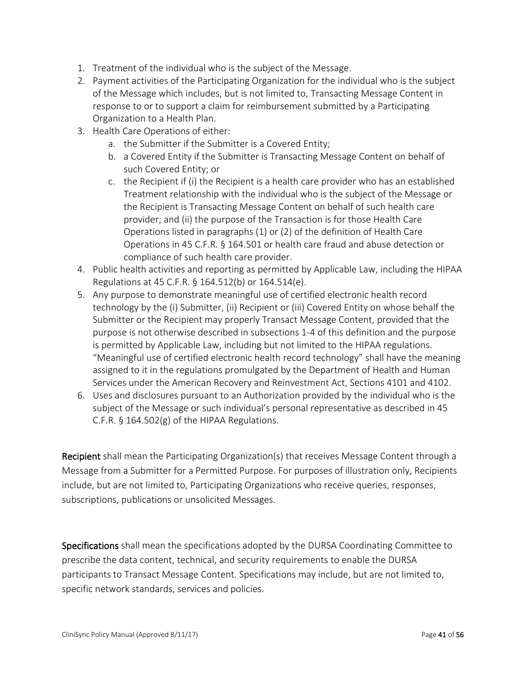- 1. Treatment of the individual who is the subject of the Message.
- 2. Payment activities of the Participating Organization for the individual who is the subject of the Message which includes, but is not limited to, Transacting Message Content in response to or to support a claim for reimbursement submitted by a Participating Organization to a Health Plan.
- 3. Health Care Operations of either:
	- a. the Submitter if the Submitter is a Covered Entity;
	- b. a Covered Entity if the Submitter is Transacting Message Content on behalf of such Covered Entity; or
	- c. the Recipient if (i) the Recipient is a health care provider who has an established Treatment relationship with the individual who is the subject of the Message or the Recipient is Transacting Message Content on behalf of such health care provider; and (ii) the purpose of the Transaction is for those Health Care Operations listed in paragraphs (1) or (2) of the definition of Health Care Operations in 45 C.F.R. § 164.501 or health care fraud and abuse detection or compliance of such health care provider.
- 4. Public health activities and reporting as permitted by Applicable Law, including the HIPAA Regulations at 45 C.F.R. § 164.512(b) or 164.514(e).
- 5. Any purpose to demonstrate meaningful use of certified electronic health record technology by the (i) Submitter, (ii) Recipient or (iii) Covered Entity on whose behalf the Submitter or the Recipient may properly Transact Message Content, provided that the purpose is not otherwise described in subsections 1-4 of this definition and the purpose is permitted by Applicable Law, including but not limited to the HIPAA regulations. "Meaningful use of certified electronic health record technology" shall have the meaning assigned to it in the regulations promulgated by the Department of Health and Human Services under the American Recovery and Reinvestment Act, Sections 4101 and 4102.
- 6. Uses and disclosures pursuant to an Authorization provided by the individual who is the subject of the Message or such individual's personal representative as described in 45 C.F.R. § 164.502(g) of the HIPAA Regulations.

Recipient shall mean the Participating Organization(s) that receives Message Content through a Message from a Submitter for a Permitted Purpose. For purposes of illustration only, Recipients include, but are not limited to, Participating Organizations who receive queries, responses, subscriptions, publications or unsolicited Messages.

Specifications shall mean the specifications adopted by the DURSA Coordinating Committee to prescribe the data content, technical, and security requirements to enable the DURSA participants to Transact Message Content. Specifications may include, but are not limited to, specific network standards, services and policies.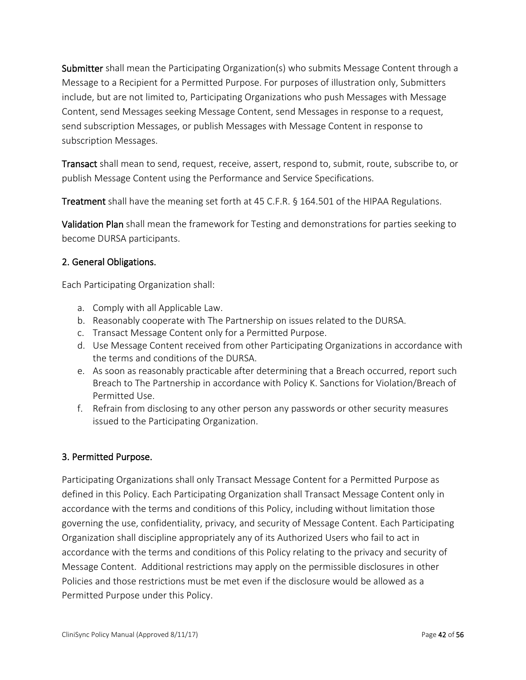Submitter shall mean the Participating Organization(s) who submits Message Content through a Message to a Recipient for a Permitted Purpose. For purposes of illustration only, Submitters include, but are not limited to, Participating Organizations who push Messages with Message Content, send Messages seeking Message Content, send Messages in response to a request, send subscription Messages, or publish Messages with Message Content in response to subscription Messages.

Transact shall mean to send, request, receive, assert, respond to, submit, route, subscribe to, or publish Message Content using the Performance and Service Specifications.

**Treatment** shall have the meaning set forth at 45 C.F.R. § 164.501 of the HIPAA Regulations.

Validation Plan shall mean the framework for Testing and demonstrations for parties seeking to become DURSA participants.

## 2. General Obligations.

Each Participating Organization shall:

- a. Comply with all Applicable Law.
- b. Reasonably cooperate with The Partnership on issues related to the DURSA.
- c. Transact Message Content only for a Permitted Purpose.
- d. Use Message Content received from other Participating Organizations in accordance with the terms and conditions of the DURSA.
- e. As soon as reasonably practicable after determining that a Breach occurred, report such Breach to The Partnership in accordance with Policy K. Sanctions for Violation/Breach of Permitted Use.
- f. Refrain from disclosing to any other person any passwords or other security measures issued to the Participating Organization.

## 3. Permitted Purpose.

Participating Organizations shall only Transact Message Content for a Permitted Purpose as defined in this Policy. Each Participating Organization shall Transact Message Content only in accordance with the terms and conditions of this Policy, including without limitation those governing the use, confidentiality, privacy, and security of Message Content. Each Participating Organization shall discipline appropriately any of its Authorized Users who fail to act in accordance with the terms and conditions of this Policy relating to the privacy and security of Message Content. Additional restrictions may apply on the permissible disclosures in other Policies and those restrictions must be met even if the disclosure would be allowed as a Permitted Purpose under this Policy.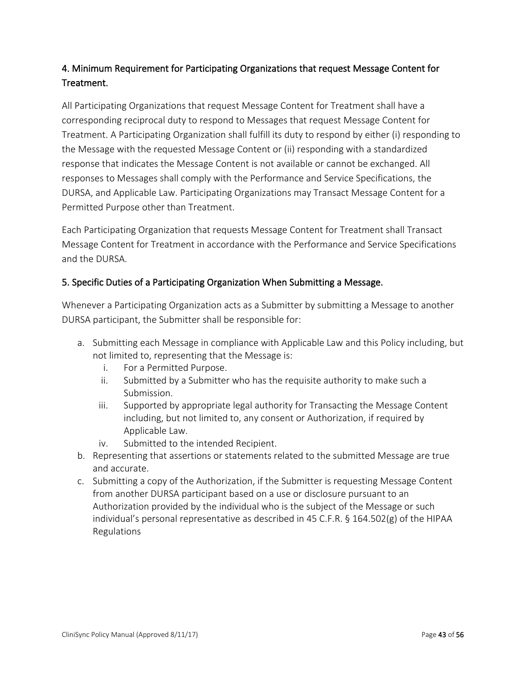# 4. Minimum Requirement for Participating Organizations that request Message Content for Treatment.

All Participating Organizations that request Message Content for Treatment shall have a corresponding reciprocal duty to respond to Messages that request Message Content for Treatment. A Participating Organization shall fulfill its duty to respond by either (i) responding to the Message with the requested Message Content or (ii) responding with a standardized response that indicates the Message Content is not available or cannot be exchanged. All responses to Messages shall comply with the Performance and Service Specifications, the DURSA, and Applicable Law. Participating Organizations may Transact Message Content for a Permitted Purpose other than Treatment.

Each Participating Organization that requests Message Content for Treatment shall Transact Message Content for Treatment in accordance with the Performance and Service Specifications and the DURSA.

## 5. Specific Duties of a Participating Organization When Submitting a Message.

Whenever a Participating Organization acts as a Submitter by submitting a Message to another DURSA participant, the Submitter shall be responsible for:

- a. Submitting each Message in compliance with Applicable Law and this Policy including, but not limited to, representing that the Message is:
	- i. For a Permitted Purpose.
	- ii. Submitted by a Submitter who has the requisite authority to make such a Submission.
	- iii. Supported by appropriate legal authority for Transacting the Message Content including, but not limited to, any consent or Authorization, if required by Applicable Law.
	- iv. Submitted to the intended Recipient.
- b. Representing that assertions or statements related to the submitted Message are true and accurate.
- c. Submitting a copy of the Authorization, if the Submitter is requesting Message Content from another DURSA participant based on a use or disclosure pursuant to an Authorization provided by the individual who is the subject of the Message or such individual's personal representative as described in 45 C.F.R. § 164.502(g) of the HIPAA Regulations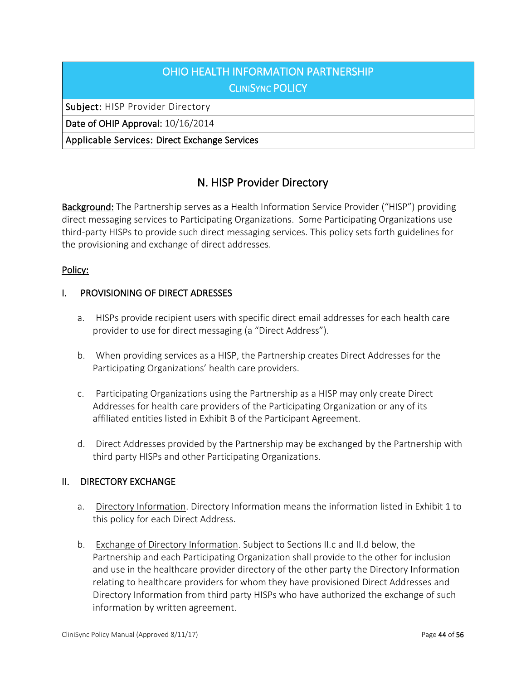# OHIO HEALTH INFORMATION PARTNERSHIP **CLINISYNC POLICY**

Subject: HISP Provider Directory

Date of OHIP Approval: 10/16/2014

Applicable Services: Direct Exchange Services

# N. HISP Provider Directory

Background: The Partnership serves as a Health Information Service Provider ("HISP") providing direct messaging services to Participating Organizations. Some Participating Organizations use third-party HISPs to provide such direct messaging services. This policy sets forth guidelines for the provisioning and exchange of direct addresses.

## Policy:

#### I. PROVISIONING OF DIRECT ADRESSES

- a. HISPs provide recipient users with specific direct email addresses for each health care provider to use for direct messaging (a "Direct Address").
- b. When providing services as a HISP, the Partnership creates Direct Addresses for the Participating Organizations' health care providers.
- c. Participating Organizations using the Partnership as a HISP may only create Direct Addresses for health care providers of the Participating Organization or any of its affiliated entities listed in Exhibit B of the Participant Agreement.
- d. Direct Addresses provided by the Partnership may be exchanged by the Partnership with third party HISPs and other Participating Organizations.

## II. DIRECTORY EXCHANGE

- a. Directory Information. Directory Information means the information listed in Exhibit 1 to this policy for each Direct Address.
- b. Exchange of Directory Information. Subject to Sections II.c and II.d below, the Partnership and each Participating Organization shall provide to the other for inclusion and use in the healthcare provider directory of the other party the Directory Information relating to healthcare providers for whom they have provisioned Direct Addresses and Directory Information from third party HISPs who have authorized the exchange of such information by written agreement.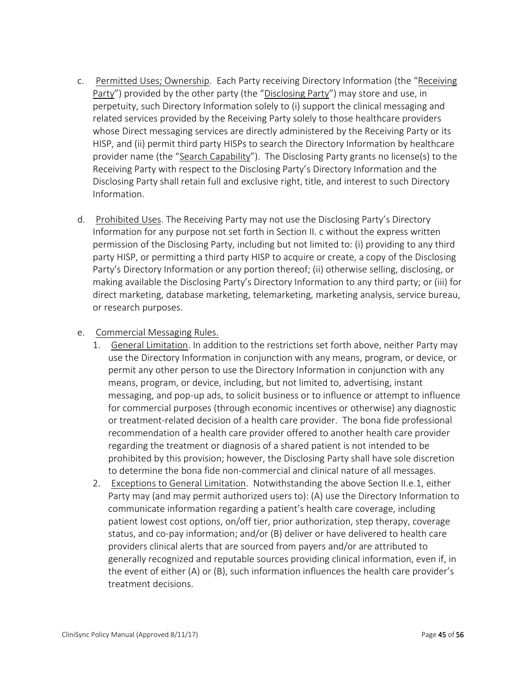- c. Permitted Uses; Ownership. Each Party receiving Directory Information (the "Receiving Party") provided by the other party (the "Disclosing Party") may store and use, in perpetuity, such Directory Information solely to (i) support the clinical messaging and related services provided by the Receiving Party solely to those healthcare providers whose Direct messaging services are directly administered by the Receiving Party or its HISP, and (ii) permit third party HISPs to search the Directory Information by healthcare provider name (the "Search Capability"). The Disclosing Party grants no license(s) to the Receiving Party with respect to the Disclosing Party's Directory Information and the Disclosing Party shall retain full and exclusive right, title, and interest to such Directory Information.
- d. Prohibited Uses. The Receiving Party may not use the Disclosing Party's Directory Information for any purpose not set forth in Section II. c without the express written permission of the Disclosing Party, including but not limited to: (i) providing to any third party HISP, or permitting a third party HISP to acquire or create, a copy of the Disclosing Party's Directory Information or any portion thereof; (ii) otherwise selling, disclosing, or making available the Disclosing Party's Directory Information to any third party; or (iii) for direct marketing, database marketing, telemarketing, marketing analysis, service bureau, or research purposes.

#### e. Commercial Messaging Rules.

- 1. General Limitation. In addition to the restrictions set forth above, neither Party may use the Directory Information in conjunction with any means, program, or device, or permit any other person to use the Directory Information in conjunction with any means, program, or device, including, but not limited to, advertising, instant messaging, and pop-up ads, to solicit business or to influence or attempt to influence for commercial purposes (through economic incentives or otherwise) any diagnostic or treatment-related decision of a health care provider. The bona fide professional recommendation of a health care provider offered to another health care provider regarding the treatment or diagnosis of a shared patient is not intended to be prohibited by this provision; however, the Disclosing Party shall have sole discretion to determine the bona fide non-commercial and clinical nature of all messages.
- 2. Exceptions to General Limitation. Notwithstanding the above Section II.e.1, either Party may (and may permit authorized users to): (A) use the Directory Information to communicate information regarding a patient's health care coverage, including patient lowest cost options, on/off tier, prior authorization, step therapy, coverage status, and co-pay information; and/or (B) deliver or have delivered to health care providers clinical alerts that are sourced from payers and/or are attributed to generally recognized and reputable sources providing clinical information, even if, in the event of either (A) or (B), such information influences the health care provider's treatment decisions.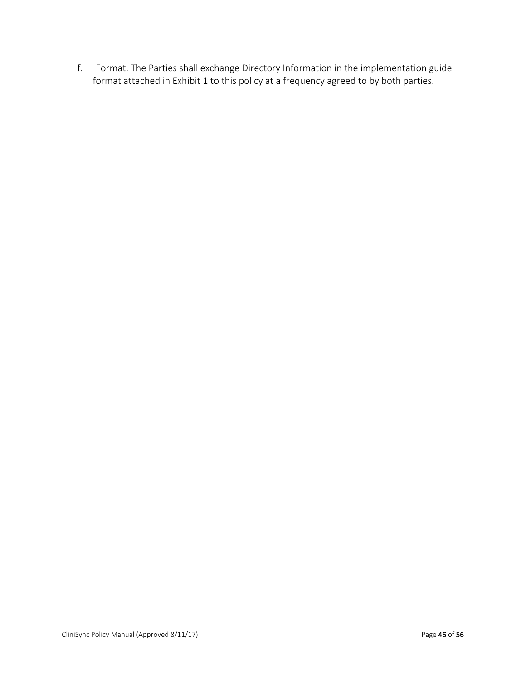f. Format. The Parties shall exchange Directory Information in the implementation guide format attached in Exhibit 1 to this policy at a frequency agreed to by both parties.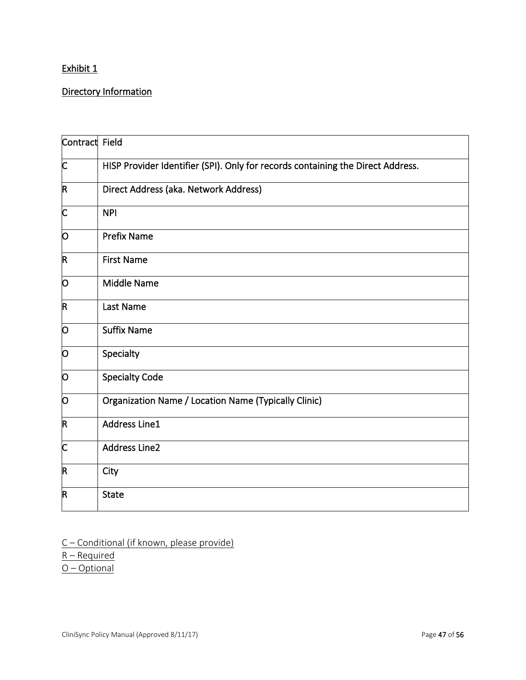# Exhibit 1

# Directory Information

| Contract Field          |                                                                                 |
|-------------------------|---------------------------------------------------------------------------------|
| C                       | HISP Provider Identifier (SPI). Only for records containing the Direct Address. |
| $\mathsf R$             | Direct Address (aka. Network Address)                                           |
| C                       | <b>NPI</b>                                                                      |
| O                       | <b>Prefix Name</b>                                                              |
| R                       | <b>First Name</b>                                                               |
| Ю                       | <b>Middle Name</b>                                                              |
| $\overline{\mathsf{R}}$ | Last Name                                                                       |
| Ю                       | <b>Suffix Name</b>                                                              |
| O                       | Specialty                                                                       |
| O                       | <b>Specialty Code</b>                                                           |
| 0                       | <b>Organization Name / Location Name (Typically Clinic)</b>                     |
| R                       | <b>Address Line1</b>                                                            |
| C                       | <b>Address Line2</b>                                                            |
| $\mathsf R$             | City                                                                            |
| $\mathsf R$             | <b>State</b>                                                                    |

C – Conditional (if known, please provide)

 $R - Required$ 

O – Optional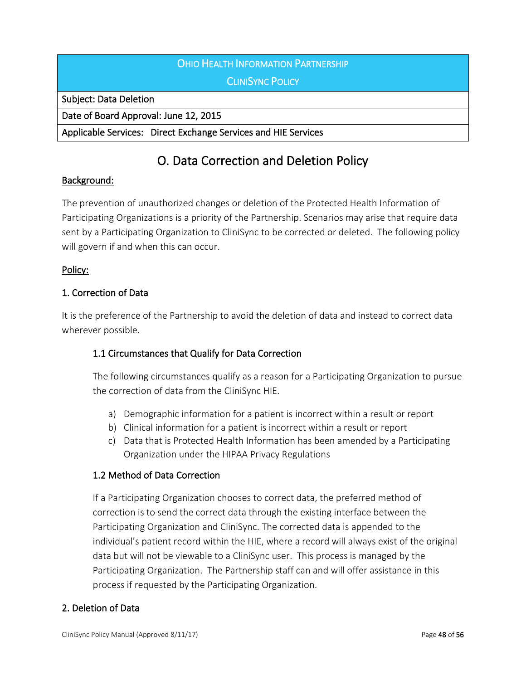# OHIO HEALTH INFORMATION PARTNERSHIP **CLINISYNC POLICY**

Subject: Data Deletion

Date of Board Approval: June 12, 2015

Applicable Services: Direct Exchange Services and HIE Services

# O. Data Correction and Deletion Policy

## Background:

The prevention of unauthorized changes or deletion of the Protected Health Information of Participating Organizations is a priority of the Partnership. Scenarios may arise that require data sent by a Participating Organization to CliniSync to be corrected or deleted. The following policy will govern if and when this can occur.

## Policy:

# 1. Correction of Data

It is the preference of the Partnership to avoid the deletion of data and instead to correct data wherever possible.

## 1.1 Circumstances that Qualify for Data Correction

The following circumstances qualify as a reason for a Participating Organization to pursue the correction of data from the CliniSync HIE.

- a) Demographic information for a patient is incorrect within a result or report
- b) Clinical information for a patient is incorrect within a result or report
- c) Data that is Protected Health Information has been amended by a Participating Organization under the HIPAA Privacy Regulations

## 1.2 Method of Data Correction

If a Participating Organization chooses to correct data, the preferred method of correction is to send the correct data through the existing interface between the Participating Organization and CliniSync. The corrected data is appended to the individual's patient record within the HIE, where a record will always exist of the original data but will not be viewable to a CliniSync user. This process is managed by the Participating Organization. The Partnership staff can and will offer assistance in this process if requested by the Participating Organization.

## 2. Deletion of Data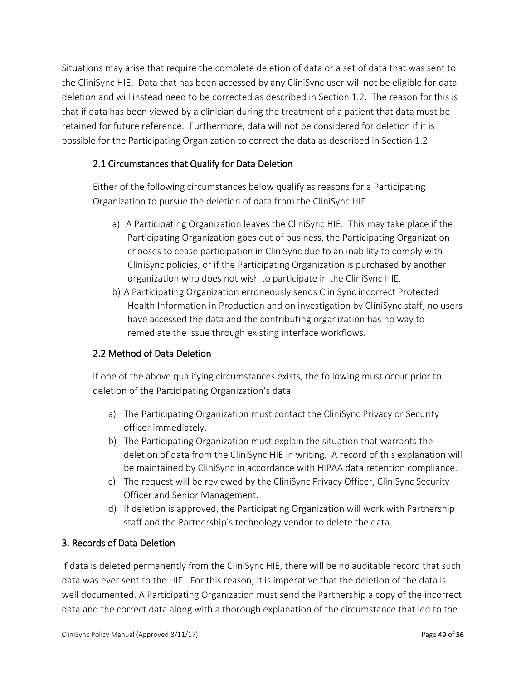Situations may arise that require the complete deletion of data or a set of data that was sent to the CliniSync HIE. Data that has been accessed by any CliniSync user will not be eligible for data deletion and will instead need to be corrected as described in Section 1.2. The reason for this is that if data has been viewed by a clinician during the treatment of a patient that data must be retained for future reference. Furthermore, data will not be considered for deletion if it is possible for the Participating Organization to correct the data as described in Section 1.2.

# 2.1 Circumstances that Qualify for Data Deletion

Either of the following circumstances below qualify as reasons for a Participating Organization to pursue the deletion of data from the CliniSync HIE.

- a) A Participating Organization leaves the CliniSync HIE. This may take place if the Participating Organization goes out of business, the Participating Organization chooses to cease participation in CliniSync due to an inability to comply with CliniSync policies, or if the Participating Organization is purchased by another organization who does not wish to participate in the CliniSync HIE.
- b) A Participating Organization erroneously sends CliniSync incorrect Protected Health Information in Production and on investigation by CliniSync staff, no users have accessed the data and the contributing organization has no way to remediate the issue through existing interface workflows.

## 2.2 Method of Data Deletion

If one of the above qualifying circumstances exists, the following must occur prior to deletion of the Participating Organization's data.

- a) The Participating Organization must contact the CliniSync Privacy or Security officer immediately.
- b) The Participating Organization must explain the situation that warrants the deletion of data from the CliniSync HIE in writing. A record of this explanation will be maintained by CliniSync in accordance with HIPAA data retention compliance.
- c) The request will be reviewed by the CliniSync Privacy Officer, CliniSync Security Officer and Senior Management.
- d) If deletion is approved, the Participating Organization will work with Partnership staff and the Partnership's technology vendor to delete the data.

## 3. Records of Data Deletion

If data is deleted permanently from the CliniSync HIE, there will be no auditable record that such data was ever sent to the HIE. For this reason, it is imperative that the deletion of the data is well documented. A Participating Organization must send the Partnership a copy of the incorrect data and the correct data along with a thorough explanation of the circumstance that led to the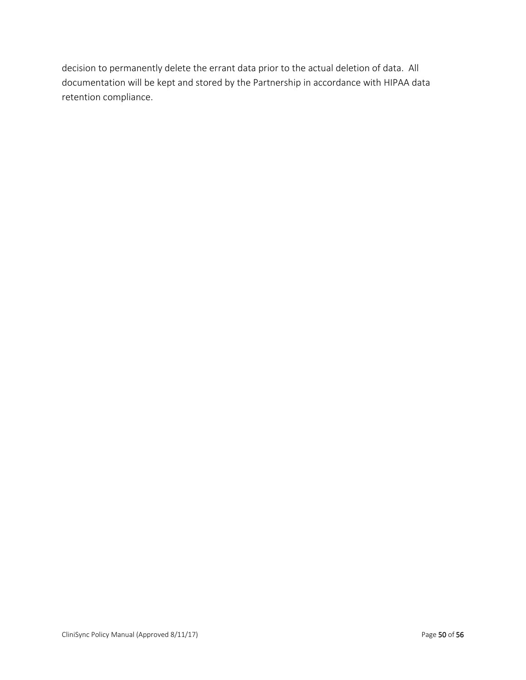decision to permanently delete the errant data prior to the actual deletion of data. All documentation will be kept and stored by the Partnership in accordance with HIPAA data retention compliance.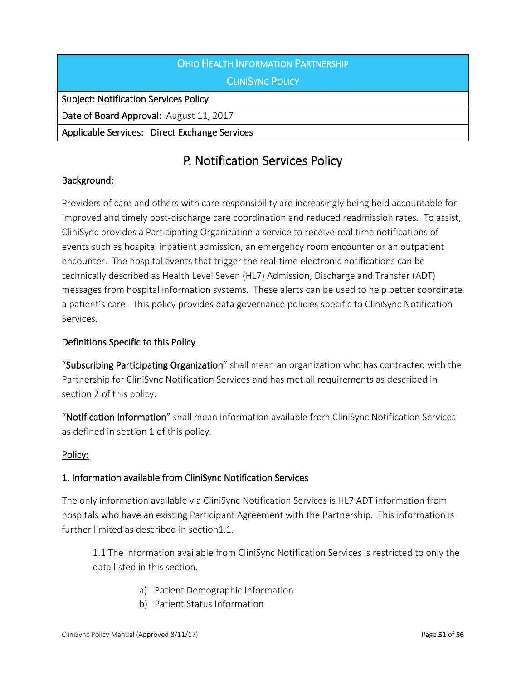| OHIO HEALTH INFORMATION PARTNERSHIP           |
|-----------------------------------------------|
| <b>CLINISYNC POLICY</b>                       |
| <b>Subject: Notification Services Policy</b>  |
| Date of Board Approval: August 11, 2017       |
| Applicable Services: Direct Exchange Services |

# P. Notification Services Policy

## Background:

Providers of care and others with care responsibility are increasingly being held accountable for improved and timely post-discharge care coordination and reduced readmission rates. To assist, CliniSync provides a Participating Organization a service to receive real time notifications of events such as hospital inpatient admission, an emergency room encounter or an outpatient encounter. The hospital events that trigger the real-time electronic notifications can be technically described as Health Level Seven (HL7) Admission, Discharge and Transfer (ADT) messages from hospital information systems. These alerts can be used to help better coordinate a patient's care. This policy provides data governance policies specific to CliniSync Notification Services.

#### Definitions Specific to this Policy

"Subscribing Participating Organization" shall mean an organization who has contracted with the Partnership for CliniSync Notification Services and has met all requirements as described in section 2 of this policy.

"Notification Information" shall mean information available from CliniSync Notification Services as defined in section 1 of this policy.

#### Policy:

## 1. Information available from CliniSync Notification Services

The only information available via CliniSync Notification Services is HL7 ADT information from hospitals who have an existing Participant Agreement with the Partnership. This information is further limited as described in section1.1.

1.1 The information available from CliniSync Notification Services is restricted to only the data listed in this section.

- a) Patient Demographic Information
- b) Patient Status Information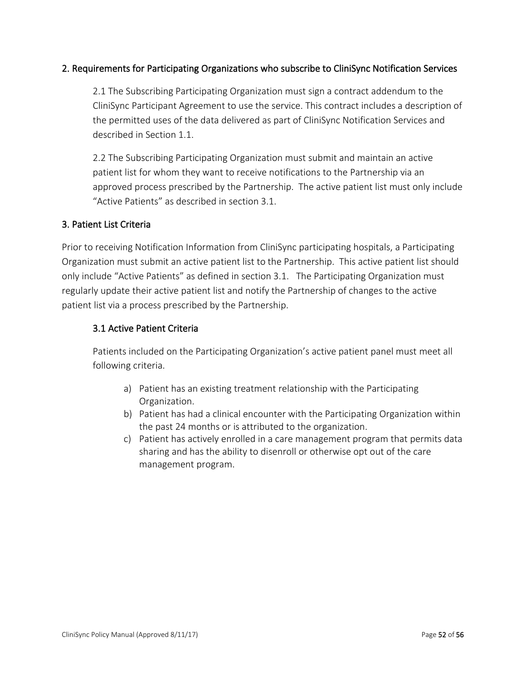#### 2. Requirements for Participating Organizations who subscribe to CliniSync Notification Services

2.1 The Subscribing Participating Organization must sign a contract addendum to the CliniSync Participant Agreement to use the service. This contract includes a description of the permitted uses of the data delivered as part of CliniSync Notification Services and described in Section 1.1.

2.2 The Subscribing Participating Organization must submit and maintain an active patient list for whom they want to receive notifications to the Partnership via an approved process prescribed by the Partnership. The active patient list must only include "Active Patients" as described in section 3.1.

#### 3. Patient List Criteria

Prior to receiving Notification Information from CliniSync participating hospitals, a Participating Organization must submit an active patient list to the Partnership. This active patient list should only include "Active Patients" as defined in section 3.1. The Participating Organization must regularly update their active patient list and notify the Partnership of changes to the active patient list via a process prescribed by the Partnership.

## 3.1 Active Patient Criteria

Patients included on the Participating Organization's active patient panel must meet all following criteria.

- a) Patient has an existing treatment relationship with the Participating Organization.
- b) Patient has had a clinical encounter with the Participating Organization within the past 24 months or is attributed to the organization.
- c) Patient has actively enrolled in a care management program that permits data sharing and has the ability to disenroll or otherwise opt out of the care management program.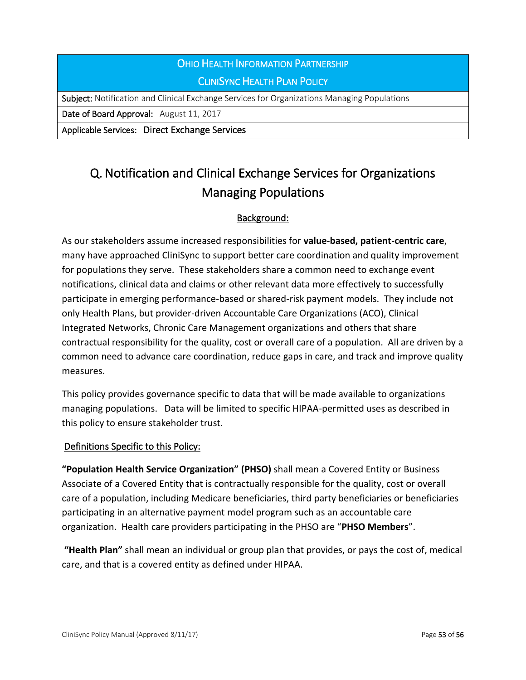# OHIO HEALTH INFORMATION PARTNERSHIP CLINISYNC HEALTH PLAN POLICY

Subject: Notification and Clinical Exchange Services for Organizations Managing Populations

Date of Board Approval: August 11, 2017

Applicable Services: Direct Exchange Services

# Q. Notification and Clinical Exchange Services for Organizations Managing Populations

# Background:

As our stakeholders assume increased responsibilities for **value-based, patient-centric care**, many have approached CliniSync to support better care coordination and quality improvement for populations they serve. These stakeholders share a common need to exchange event notifications, clinical data and claims or other relevant data more effectively to successfully participate in emerging performance-based or shared-risk payment models. They include not only Health Plans, but provider-driven Accountable Care Organizations (ACO), Clinical Integrated Networks, Chronic Care Management organizations and others that share contractual responsibility for the quality, cost or overall care of a population. All are driven by a common need to advance care coordination, reduce gaps in care, and track and improve quality measures.

This policy provides governance specific to data that will be made available to organizations managing populations. Data will be limited to specific HIPAA-permitted uses as described in this policy to ensure stakeholder trust.

#### Definitions Specific to this Policy:

**"Population Health Service Organization" (PHSO)** shall mean a Covered Entity or Business Associate of a Covered Entity that is contractually responsible for the quality, cost or overall care of a population, including Medicare beneficiaries, third party beneficiaries or beneficiaries participating in an alternative payment model program such as an accountable care organization. Health care providers participating in the PHSO are "**PHSO Members**".

**"Health Plan"** shall mean an individual or group plan that provides, or pays the cost of, medical care, and that is a covered entity as defined under HIPAA.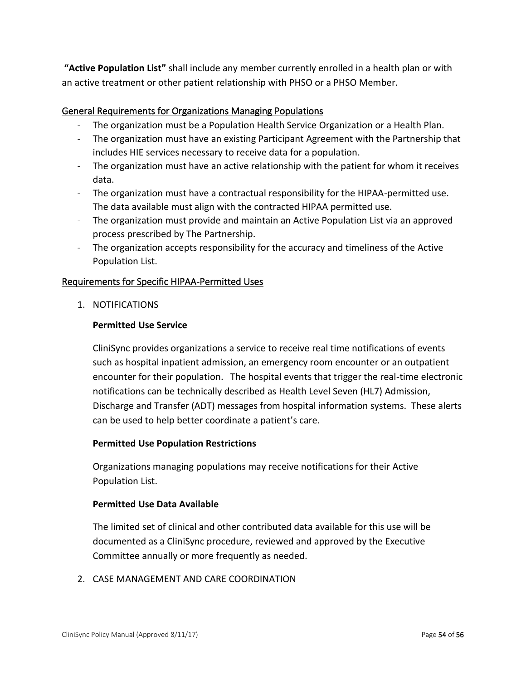**"Active Population List"** shall include any member currently enrolled in a health plan or with an active treatment or other patient relationship with PHSO or a PHSO Member.

#### General Requirements for Organizations Managing Populations

- The organization must be a Population Health Service Organization or a Health Plan.
- The organization must have an existing Participant Agreement with the Partnership that includes HIE services necessary to receive data for a population.
- The organization must have an active relationship with the patient for whom it receives data.
- The organization must have a contractual responsibility for the HIPAA-permitted use. The data available must align with the contracted HIPAA permitted use.
- The organization must provide and maintain an Active Population List via an approved process prescribed by The Partnership.
- The organization accepts responsibility for the accuracy and timeliness of the Active Population List.

#### Requirements for Specific HIPAA-Permitted Uses

1. NOTIFICATIONS

#### **Permitted Use Service**

CliniSync provides organizations a service to receive real time notifications of events such as hospital inpatient admission, an emergency room encounter or an outpatient encounter for their population. The hospital events that trigger the real-time electronic notifications can be technically described as Health Level Seven (HL7) Admission, Discharge and Transfer (ADT) messages from hospital information systems. These alerts can be used to help better coordinate a patient's care.

#### **Permitted Use Population Restrictions**

Organizations managing populations may receive notifications for their Active Population List.

#### **Permitted Use Data Available**

The limited set of clinical and other contributed data available for this use will be documented as a CliniSync procedure, reviewed and approved by the Executive Committee annually or more frequently as needed.

2. CASE MANAGEMENT AND CARE COORDINATION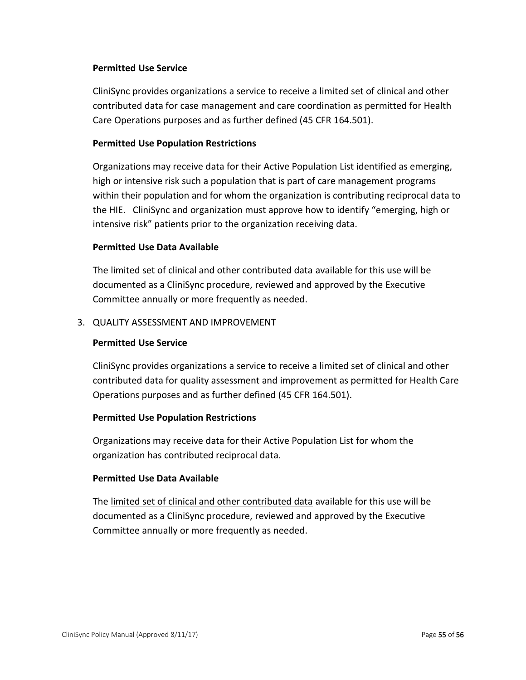#### **Permitted Use Service**

CliniSync provides organizations a service to receive a limited set of clinical and other contributed data for case management and care coordination as permitted for Health Care Operations purposes and as further defined (45 CFR 164.501).

#### **Permitted Use Population Restrictions**

Organizations may receive data for their Active Population List identified as emerging, high or intensive risk such a population that is part of care management programs within their population and for whom the organization is contributing reciprocal data to the HIE. CliniSync and organization must approve how to identify "emerging, high or intensive risk" patients prior to the organization receiving data.

#### **Permitted Use Data Available**

The limited set of clinical and other contributed data available for this use will be documented as a CliniSync procedure, reviewed and approved by the Executive Committee annually or more frequently as needed.

#### 3. QUALITY ASSESSMENT AND IMPROVEMENT

#### **Permitted Use Service**

CliniSync provides organizations a service to receive a limited set of clinical and other contributed data for quality assessment and improvement as permitted for Health Care Operations purposes and as further defined (45 CFR 164.501).

#### **Permitted Use Population Restrictions**

Organizations may receive data for their Active Population List for whom the organization has contributed reciprocal data.

#### **Permitted Use Data Available**

The limited set of clinical and other contributed data available for this use will be documented as a CliniSync procedure, reviewed and approved by the Executive Committee annually or more frequently as needed.